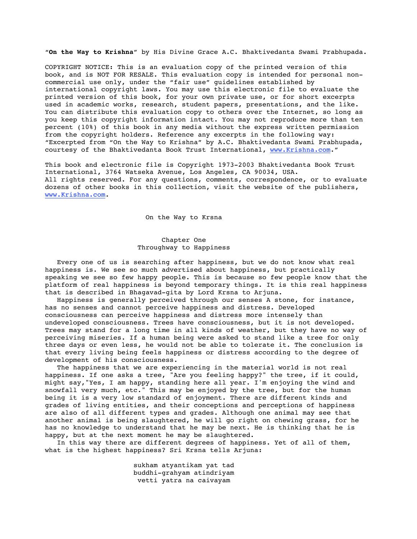"**On the Way to Krishna**" by His Divine Grace A.C. Bhaktivedanta Swami Prabhupada.

COPYRIGHT NOTICE: This is an evaluation copy of the printed version of this book, and is NOT FOR RESALE. This evaluation copy is intended for personal noncommercial use only, under the "fair use" guidelines established by international copyright laws. You may use this electronic file to evaluate the printed version of this book, for your own private use, or for short excerpts used in academic works, research, student papers, presentations, and the like. You can distribute this evaluation copy to others over the Internet, so long as you keep this copyright information intact. You may not reproduce more than ten percent (10%) of this book in any media without the express written permission from the copyright holders. Reference any excerpts in the following way: "Excerpted from "On the Way to Krishna" by A.C. Bhaktivedanta Swami Prabhupada, courtesy of the Bhaktivedanta Book Trust International, www.Krishna.com."

This book and electronic file is Copyright 1973-2003 Bhaktivedanta Book Trust International, 3764 Watseka Avenue, Los Angeles, CA 90034, USA. All rights reserved. For any questions, comments, correspondence, or to evaluate dozens of other books in this collection, visit the website of the publishers, www.Krishna.com.

On the Way to Krsna

# Chapter One Throughway to Happiness

 Every one of us is searching after happiness, but we do not know what real happiness is. We see so much advertised about happiness, but practically speaking we see so few happy people. This is because so few people know that the platform of real happiness is beyond temporary things. It is this real happiness that is described in Bhagavad-gita by Lord Krsna to Arjuna.

 Happiness is generally perceived through our senses A stone, for instance, has no senses and cannot perceive happiness and distress. Developed consciousness can perceive happiness and distress more intensely than undeveloped consciousness. Trees have consciousness, but it is not developed. Trees may stand for a long time in all kinds of weather, but they have no way of perceiving miseries. If a human being were asked to stand like a tree for only three days or even less, he would not be able to tolerate it. The conclusion is that every living being feels happiness or distress according to the degree of development of his consciousness.

 The happiness that we are experiencing in the material world is not real happiness. If one asks a tree, "Are you feeling happy?" the tree, if it could, might say,"Yes, I am happy, standing here all year. I'm enjoying the wind and snowfall very much, etc." This may be enjoyed by the tree, but for the human being it is a very low standard of enjoyment. There are different kinds and grades of living entities, and their conceptions and perceptions of happiness are also of all different types and grades. Although one animal may see that another animal is being slaughtered, he will go right on chewing grass, for he has no knowledge to understand that he may be next. He is thinking that he is happy, but at the next moment he may be slaughtered.

 In this way there are different degrees of happiness. Yet of all of them, what is the highest happiness? Sri Krsna tells Arjuna:

> sukham atyantikam yat tad buddhi-grahyam atindriyam vetti yatra na caivayam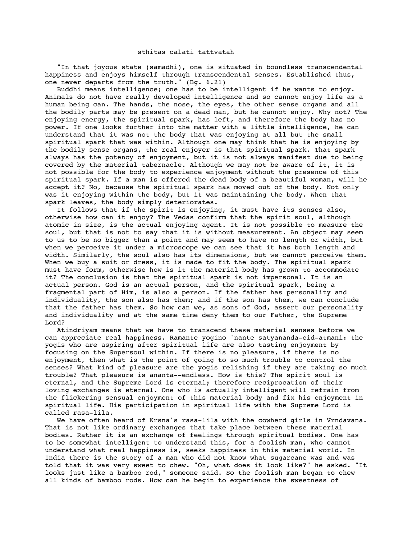#### sthitas calati tattvatah

 "In that joyous state (samadhi), one is situated in boundless transcendental happiness and enjoys himself through transcendental senses. Established thus, one never departs from the truth." (Bg. 6.21)

 Buddhi means intelligence; one has to be intelligent if he wants to enjoy. Animals do not have really developed intelligence and so cannot enjoy life as a human being can. The hands, the nose, the eyes, the other sense organs and all the bodily parts may be present on a dead man, but he cannot enjoy. Why not? The enjoying energy, the spiritual spark, has left, and therefore the body has no power. If one looks further into the matter with a little intelligence, he can understand that it was not the body that was enjoying at all but the small spiritual spark that was within. Although one may think that he is enjoying by the bodily sense organs, the real enjoyer is that spiritual spark. That spark always has the potency of enjoyment, but it is not always manifest due to being covered by the material tabernacle. Although we may not be aware of it, it is not possible for the body to experience enjoyment without the presence of this spiritual spark. If a man is offered the dead body of a beautiful woman, will he accept it? No, because the spiritual spark has moved out of the body. Not only was it enjoying within the body, but it was maintaining the body. When that spark leaves, the body simply deteriorates.

 It follows that if the spirit is enjoying, it must have its senses also, otherwise how can it enjoy? The Vedas confirm that the spirit soul, although atomic in size, is the actual enjoying agent. It is not possible to measure the soul, but that is not to say that it is without measurement. An object may seem to us to be no bigger than a point and may seem to have no length or width, but when we perceive it under a microscope we can see that it has both length and width. Similarly, the soul also has its dimensions, but we cannot perceive them. When we buy a suit or dress, it is made to fit the body. The spiritual spark must have form, otherwise how is it the material body has grown to accommodate it? The conclusion is that the spiritual spark is not impersonal. It is an actual person. God is an actual person, and the spiritual spark, being a fragmental part of Him, is also a person. If the father has personality and individuality, the son also has them; and if the son has them, we can conclude that the father has them. So how can we, as sons of God, assert our personality and individuality and at the same time deny them to our Father, the Supreme Lord?

 Atindriyam means that we have to transcend these material senses before we can appreciate real happiness. Ramante yogino 'nante satyananda-cid-atmani: the yogis who are aspiring after spiritual life are also tasting enjoyment by focusing on the Supersoul within. If there is no pleasure, if there is no enjoyment, then what is the point of going to so much trouble to control the senses? What kind of pleasure are the yogis relishing if they are taking so much trouble? That pleasure is ananta--endless. How is this? The spirit soul is eternal, and the Supreme Lord is eternal; therefore reciprocation of their loving exchanges is eternal. One who is actually intelligent will refrain from the flickering sensual enjoyment of this material body and fix his enjoyment in spiritual life. His participation in spiritual life with the Supreme Lord is called rasa-lila.

 We have often heard of Krsna's rasa-lila with the cowherd girls in Vrndavana. That is not like ordinary exchanges that take place between these material bodies. Rather it is an exchange of feelings through spiritual bodies. One has to be somewhat intelligent to understand this, for a foolish man, who cannot understand what real happiness is, seeks happiness in this material world. In India there is the story of a man who did not know what sugarcane was and was told that it was very sweet to chew. "Oh, what does it look like?" he asked. "It looks just like a bamboo rod," someone said. So the foolish man began to chew all kinds of bamboo rods. How can he begin to experience the sweetness of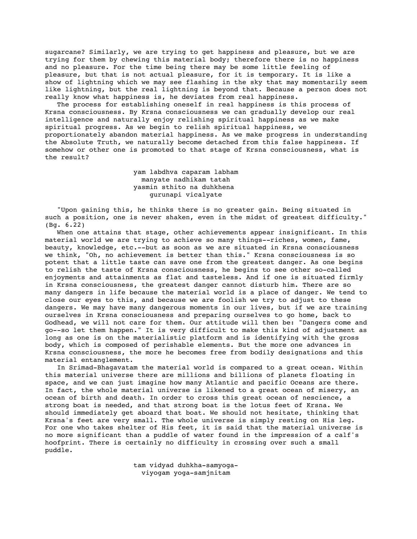sugarcane? Similarly, we are trying to get happiness and pleasure, but we are trying for them by chewing this material body; therefore there is no happiness and no pleasure. For the time being there may be some little feeling of pleasure, but that is not actual pleasure, for it is temporary. It is like a show of lightning which we may see flashing in the sky that may momentarily seem like lightning, but the real lightning is beyond that. Because a person does not really know what happiness is, he deviates from real happiness.

 The process for establishing oneself in real happiness is this process of Krsna consciousness. By Krsna consciousness we can gradually develop our real intelligence and naturally enjoy relishing spiritual happiness as we make spiritual progress. As we begin to relish spiritual happiness, we proportionately abandon material happiness. As we make progress in understanding the Absolute Truth, we naturally become detached from this false happiness. If somehow or other one is promoted to that stage of Krsna consciousness, what is the result?

> yam labdhva caparam labham manyate nadhikam tatah yasmin sthito na duhkhena gurunapi vicalyate

 "Upon gaining this, he thinks there is no greater gain. Being situated in such a position, one is never shaken, even in the midst of greatest difficulty." (Bg. 6.22)

When one attains that stage, other achievements appear insignificant. In this material world we are trying to achieve so many things--riches, women, fame, beauty, knowledge, etc.--but as soon as we are situated in Krsna consciousness we think, "Oh, no achievement is better than this." Krsna consciousness is so potent that a little taste can save one from the greatest danger. As one begins to relish the taste of Krsna consciousness, he begins to see other so-called enjoyments and attainments as flat and tasteless. And if one is situated firmly in Krsna consciousness, the greatest danger cannot disturb him. There are so many dangers in life because the material world is a place of danger. We tend to close our eyes to this, and because we are foolish we try to adjust to these dangers. We may have many dangerous moments in our lives, but if we are training ourselves in Krsna consciousness and preparing ourselves to go home, back to Godhead, we will not care for them. Our attitude will then be: "Dangers come and go--so let them happen." It is very difficult to make this kind of adjustment as long as one is on the materialistic platform and is identifying with the gross body, which is composed of perishable elements. But the more one advances in Krsna consciousness, the more he becomes free from bodily designations and this material entanglement.

 In Srimad-Bhagavatam the material world is compared to a great ocean. Within this material universe there are millions and billions of planets floating in space, and we can just imagine how many Atlantic and pacific Oceans are there. In fact, the whole material universe is likened to a great ocean of misery, an ocean of birth and death. In order to cross this great ocean of nescience, a strong boat is needed, and that strong boat is the lotus feet of Krsna. We should immediately get aboard that boat. We should not hesitate, thinking that Krsna's feet are very small. The whole universe is simply resting on His leg. For one who takes shelter of His feet, it is said that the material universe is no more significant than a puddle of water found in the impression of a calf's hoofprint. There is certainly no difficulty in crossing over such a small puddle.

> tam vidyad duhkha-samyoga viyogam yoga-samjnitam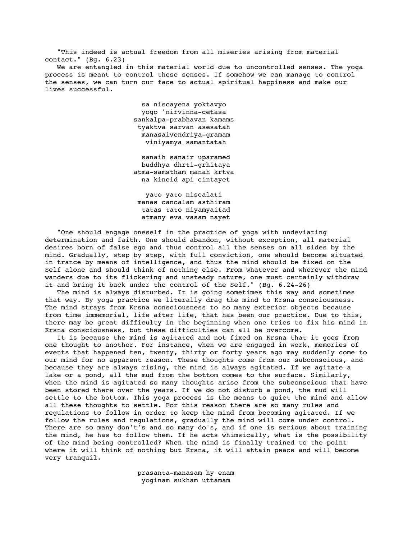"This indeed is actual freedom from all miseries arising from material contact." (Bg. 6.23)

 We are entangled in this material world due to uncontrolled senses. The yoga process is meant to control these senses. If somehow we can manage to control the senses, we can turn our face to actual spiritual happiness and make our lives successful.

> sa niscayena yoktavyo yogo 'nirvinna-cetasa sankalpa-prabhavan kamams tyaktva sarvan asesatah manasaivendriya-gramam viniyamya samantatah

> sanaih sanair uparamed buddhya dhrti-grhitaya atma-samstham manah krtva na kincid api cintayet

 yato yato niscalati manas cancalam asthiram tatas tato niyamyaitad atmany eva vasam nayet

 "One should engage oneself in the practice of yoga with undeviating determination and faith. One should abandon, without exception, all material desires born of false ego and thus control all the senses on all sides by the mind. Gradually, step by step, with full conviction, one should become situated in trance by means of intelligence, and thus the mind should be fixed on the Self alone and should think of nothing else. From whatever and wherever the mind wanders due to its flickering and unsteady nature, one must certainly withdraw it and bring it back under the control of the Self." (Bg. 6.24-26)

 The mind is always disturbed. It is going sometimes this way and sometimes that way. By yoga practice we literally drag the mind to Krsna consciousness. The mind strays from Krsna consciousness to so many exterior objects because from time immemorial, life after life, that has been our practice. Due to this, there may be great difficulty in the beginning when one tries to fix his mind in Krsna consciousness, but these difficulties can all be overcome.

 It is because the mind is agitated and not fixed on Krsna that it goes from one thought to another. For instance, when we are engaged in work, memories of events that happened ten, twenty, thirty or forty years ago may suddenly come to our mind for no apparent reason. These thoughts come from our subconscious, and because they are always rising, the mind is always agitated. If we agitate a lake or a pond, all the mud from the bottom comes to the surface. Similarly, when the mind is agitated so many thoughts arise from the subconscious that have been stored there over the years. If we do not disturb a pond, the mud will settle to the bottom. This yoga process is the means to quiet the mind and allow all these thoughts to settle. For this reason there are so many rules and regulations to follow in order to keep the mind from becoming agitated. If we follow the rules and regulations, gradually the mind will come under control. There are so many don't's and so many do's, and if one is serious about training the mind, he has to follow them. If he acts whimsically, what is the possibility of the mind being controlled? When the mind is finally trained to the point where it will think of nothing but Krsna, it will attain peace and will become very tranquil.

> prasanta-manasam hy enam yoginam sukham uttamam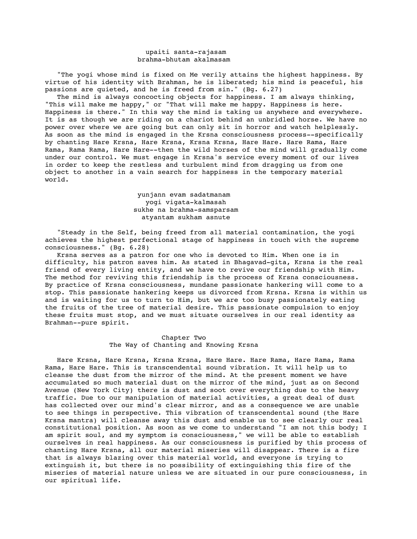### upaiti santa-rajasam brahma-bhutam akalmasam

 "The yogi whose mind is fixed on Me verily attains the highest happiness. By virtue of his identity with Brahman, he is liberated; his mind is peaceful, his passions are quieted, and he is freed from sin." (Bg. 6.27)

 The mind is always concocting objects for happiness. I am always thinking, "This will make me happy," or "That will make me happy. Happiness is here. Happiness is there." In this way the mind is taking us anywhere and everywhere. It is as though we are riding on a chariot behind an unbridled horse. We have no power over where we are going but can only sit in horror and watch helplessly. As soon as the mind is engaged in the Krsna consciousness process--specifically by chanting Hare Krsna, Hare Krsna, Krsna Krsna, Hare Hare. Hare Rama, Hare Rama, Rama Rama, Hare Hare--then the wild horses of the mind will gradually come under our control. We must engage in Krsna's service every moment of our lives in order to keep the restless and turbulent mind from dragging us from one object to another in a vain search for happiness in the temporary material world.

> yunjann evam sadatmanam yogi vigata-kalmasah sukhe na brahma-samsparsam atyantam sukham asnute

 "Steady in the Self, being freed from all material contamination, the yogi achieves the highest perfectional stage of happiness in touch with the supreme consciousness." (Bg. 6.28)

 Krsna serves as a patron for one who is devoted to Him. When one is in difficulty, his patron saves him. As stated in Bhagavad-gita, Krsna is the real friend of every living entity, and we have to revive our friendship with Him. The method for reviving this friendship is the process of Krsna consciousness. By practice of Krsna consciousness, mundane passionate hankering will come to a stop. This passionate hankering keeps us divorced from Krsna. Krsna is within us and is waiting for us to turn to Him, but we are too busy passionately eating the fruits of the tree of material desire. This passionate compulsion to enjoy these fruits must stop, and we must situate ourselves in our real identity as Brahman--pure spirit.

# Chapter Two The Way of Chanting and Knowing Krsna

 Hare Krsna, Hare Krsna, Krsna Krsna, Hare Hare. Hare Rama, Hare Rama, Rama Rama, Hare Hare. This is transcendental sound vibration. It will help us to cleanse the dust from the mirror of the mind. At the present moment we have accumulated so much material dust on the mirror of the mind, just as on Second Avenue (New York City) there is dust and soot over everything due to the heavy traffic. Due to our manipulation of material activities, a great deal of dust has collected over our mind's clear mirror, and as a consequence we are unable to see things in perspective. This vibration of transcendental sound (the Hare Krsna mantra) will cleanse away this dust and enable us to see clearly our real constitutional position. As soon as we come to understand "I am not this body; I am spirit soul, and my symptom is consciousness," we will be able to establish ourselves in real happiness. As our consciousness is purified by this process of chanting Hare Krsna, all our material miseries will disappear. There is a fire that is always blazing over this material world, and everyone is trying to extinguish it, but there is no possibility of extinguishing this fire of the miseries of material nature unless we are situated in our pure consciousness, in our spiritual life.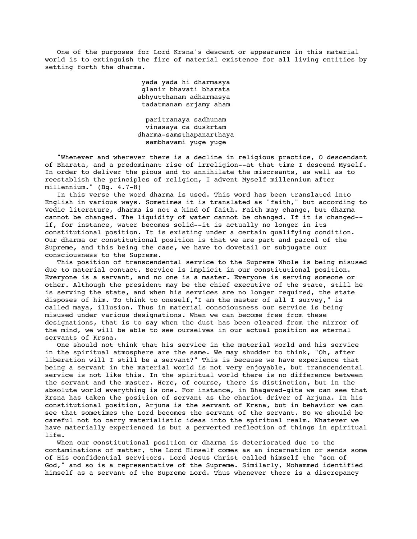One of the purposes for Lord Krsna's descent or appearance in this material world is to extinguish the fire of material existence for all living entities by setting forth the dharma.

> yada yada hi dharmasya glanir bhavati bharata abhyutthanam adharmasya tadatmanam srjamy aham

 paritranaya sadhunam vinasaya ca duskrtam dharma-samsthapanarthaya sambhavami yuge yuge

 "Whenever and wherever there is a decline in religious practice, O descendant of Bharata, and a predominant rise of irreligion--at that time I descend Myself. In order to deliver the pious and to annihilate the miscreants, as well as to reestablish the principles of religion, I advent Myself millennium after millennium." (Bg. 4.7-8)

 In this verse the word dharma is used. This word has been translated into English in various ways. Sometimes it is translated as "faith," but according to Vedic literature, dharma is not a kind of faith. Faith may change, but dharma cannot be changed. The liquidity of water cannot be changed. If it is changed- if, for instance, water becomes solid--it is actually no longer in its constitutional position. It is existing under a certain qualifying condition. Our dharma or constitutional position is that we are part and parcel of the Supreme, and this being the case, we have to dovetail or subjugate our consciousness to the Supreme.

 This position of transcendental service to the Supreme Whole is being misused due to material contact. Service is implicit in our constitutional position. Everyone is a servant, and no one is a master. Everyone is serving someone or other. Although the president may be the chief executive of the state, still he is serving the state, and when his services are no longer required, the state disposes of him. To think to oneself,"I am the master of all I survey," is called maya, illusion. Thus in material consciousness our service is being misused under various designations. When we can become free from these designations, that is to say when the dust has been cleared from the mirror of the mind, we will be able to see ourselves in our actual position as eternal servants of Krsna.

 One should not think that his service in the material world and his service in the spiritual atmosphere are the same. We may shudder to think, "Oh, after liberation will I still be a servant?" This is because we have experience that being a servant in the material world is not very enjoyable, but transcendental service is not like this. In the spiritual world there is no difference between the servant and the master. Here, of course, there is distinction, but in the absolute world everything is one. For instance, in Bhagavad-gita we can see that Krsna has taken the position of servant as the chariot driver of Arjuna. In his constitutional position, Arjuna is the servant of Krsna, but in behavior we can see that sometimes the Lord becomes the servant of the servant. So we should be careful not to carry materialistic ideas into the spiritual realm. Whatever we have materially experienced is but a perverted reflection of things in spiritual life.

 When our constitutional position or dharma is deteriorated due to the contaminations of matter, the Lord Himself comes as an incarnation or sends some of His confidential servitors. Lord Jesus Christ called himself the "son of God," and so is a representative of the Supreme. Similarly, Mohammed identified himself as a servant of the Supreme Lord. Thus whenever there is a discrepancy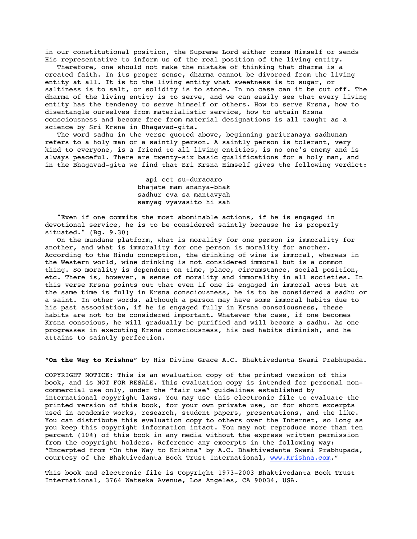in our constitutional position, the Supreme Lord either comes Himself or sends His representative to inform us of the real position of the living entity.

 Therefore, one should not make the mistake of thinking that dharma is a created faith. In its proper sense, dharma cannot be divorced from the living entity at all. It is to the living entity what sweetness is to sugar, or saltiness is to salt, or solidity is to stone. In no case can it be cut off. The dharma of the living entity is to serve, and we can easily see that every living entity has the tendency to serve himself or others. How to serve Krsna, how to disentangle ourselves from materialistic service, how to attain Krsna consciousness and become free from material designations is all taught as a science by Sri Krsna in Bhagavad-gita.

 The word sadhu in the verse quoted above, beginning paritranaya sadhunam refers to a holy man or a saintly person. A saintly person is tolerant, very kind to everyone, is a friend to all living entities, is no one's enemy and is always peaceful. There are twenty-six basic qualifications for a holy man, and in the Bhagavad-gita we find that Sri Krsna Himself gives the following verdict:

> api cet su-duracaro bhajate mam ananya-bhak sadhur eva sa mantavyah samyag vyavasito hi sah

 "Even if one commits the most abominable actions, if he is engaged in devotional service, he is to be considered saintly because he is properly situated." (Bg. 9.30)

 On the mundane platform, what is morality for one person is immorality for another, and what is immorality for one person is morality for another. According to the Hindu conception, the drinking of wine is immoral, whereas in the Western world, wine drinking is not considered immoral but is a common thing. So morality is dependent on time, place, circumstance, social position, etc. There is, however, a sense of morality and immorality in all societies. In this verse Krsna points out that even if one is engaged in immoral acts but at the same time is fully in Krsna consciousness, he is to be considered a sadhu or a saint. In other words. although a person may have some immoral habits due to his past association, if he is engaged fully in Krsna consciousness, these habits are not to be considered important. Whatever the case, if one becomes Krsna conscious, he will gradually be purified and will become a sadhu. As one progresses in executing Krsna consciousness, his bad habits diminish, and he attains to saintly perfection.

"**On the Way to Krishna**" by His Divine Grace A.C. Bhaktivedanta Swami Prabhupada.

COPYRIGHT NOTICE: This is an evaluation copy of the printed version of this book, and is NOT FOR RESALE. This evaluation copy is intended for personal noncommercial use only, under the "fair use" guidelines established by international copyright laws. You may use this electronic file to evaluate the printed version of this book, for your own private use, or for short excerpts used in academic works, research, student papers, presentations, and the like. You can distribute this evaluation copy to others over the Internet, so long as you keep this copyright information intact. You may not reproduce more than ten percent (10%) of this book in any media without the express written permission from the copyright holders. Reference any excerpts in the following way: "Excerpted from "On the Way to Krishna" by A.C. Bhaktivedanta Swami Prabhupada, courtesy of the Bhaktivedanta Book Trust International, www.Krishna.com."

This book and electronic file is Copyright 1973-2003 Bhaktivedanta Book Trust International, 3764 Watseka Avenue, Los Angeles, CA 90034, USA.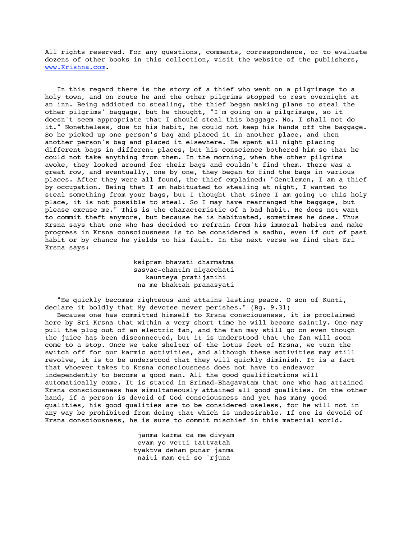All rights reserved. For any questions, comments, correspondence, or to evaluate dozens of other books in this collection, visit the website of the publishers, www.Krishna.com.

 In this regard there is the story of a thief who went on a pilgrimage to a holy town, and on route he and the other pilgrims stopped to rest overnight at an inn. Being addicted to stealing, the thief began making plans to steal the other pilgrims' baggage, but he thought, "I'm going on a pilgrimage, so it doesn't seem appropriate that I should steal this baggage. No, I shall not do it." Nonetheless, due to his habit, he could not keep his hands off the baggage. So he picked up one person's bag and placed it in another place, and then another person's bag and placed it elsewhere. He spent all night placing different bags in different places, but his conscience bothered him so that he could not take anything from them. In the morning, when the other pilgrims awoke, they looked around for their bags and couldn't find them. There was a great row, and eventually, one by one, they began to find the bags in various places. After they were all found, the thief explained: "Gentlemen, I am a thief by occupation. Being that I am habituated to stealing at night, I wanted to steal something from your bags, but I thought that since I am going to this holy place, it is not possible to steal. So I may have rearranged the baggage, but please excuse me." This is the characteristic of a bad habit. He does not want to commit theft anymore, but because he is habituated, sometimes he does. Thus Krsna says that one who has decided to refrain from his immoral habits and make progress in Krsna consciousness is to be considered a sadhu, even if out of past habit or by chance he yields to his fault. In the next verse we find that Sri Krsna says:

> ksipram bhavati dharmatma sasvac-chantim nigacchati kaunteya pratijanihi na me bhaktah pranasyati

 "He quickly becomes righteous and attains lasting peace. O son of Kunti, declare it boldly that My devotee never perishes." (Bg. 9.31)

 Because one has committed himself to Krsna consciousness, it is proclaimed here by Sri Krsna that within a very short time he will become saintly. One may pull the plug out of an electric fan, and the fan may still go on even though the juice has been disconnected, but it is understood that the fan will soon come to a stop. Once we take shelter of the lotus feet of Krsna, we turn the switch off for our karmic activities, and although these activities may still revolve, it is to be understood that they will quickly diminish. It is a fact that whoever takes to Krsna consciousness does not have to endeavor independently to become a good man. All the good qualifications will automatically come. It is stated in Srimad-Bhagavatam that one who has attained Krsna consciousness has simultaneously attained all good qualities. On the other hand, if a person is devoid of God consciousness and yet has many good qualities, his good qualities are to be considered useless, for he will not in any way be prohibited from doing that which is undesirable. If one is devoid of Krsna consciousness, he is sure to commit mischief in this material world.

> janma karma ca me divyam evam yo vetti tattvatah tyaktva deham punar janma naiti mam eti so 'rjuna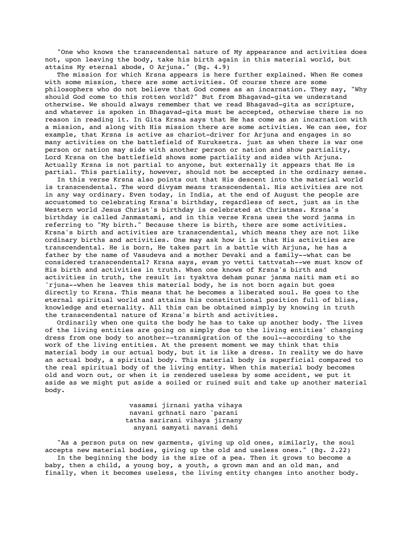"One who knows the transcendental nature of My appearance and activities does not, upon leaving the body, take his birth again in this material world, but attains My eternal abode, O Arjuna." (Bg. 4.9)

 The mission for which Krsna appears is here further explained. When He comes with some mission, there are some activities. Of course there are some philosophers who do not believe that God comes as an incarnation. They say, "Why should God come to this rotten world?" But from Bhagavad-gita we understand otherwise. We should always remember that we read Bhagavad-gita as scripture, and whatever is spoken in Bhagavad-gita must be accepted, otherwise there is no reason in reading it. In Gita Krsna says that He has come as an incarnation with a mission, and along with His mission there are some activities. We can see, for example, that Krsna is active as chariot-driver for Arjuna and engages in so many activities on the battlefield of Kuruksetra. just as when there is war one person or nation may side with another person or nation and show partiality, Lord Krsna on the battlefield shows some partiality and sides with Arjuna. Actually Krsna is not partial to anyone, but externally it appears that He is partial. This partiality, however, should not be accepted in the ordinary sense.

 In this verse Krsna also points out that His descent into the material world is transcendental. The word divyam means transcendental. His activities are not in any way ordinary. Even today, in India, at the end of August the people are accustomed to celebrating Krsna's birthday, regardless of sect, just as in the Western world Jesus Christ's birthday is celebrated at Christmas. Krsna's birthday is called Janmastami, and in this verse Krsna uses the word janma in referring to "My birth." Because there is birth, there are some activities. Krsna's birth and activities are transcendental, which means they are not like ordinary births and activities. One may ask how it is that His activities are transcendental. He is born, He takes part in a battle with Arjuna, he has a father by the name of Vasudeva and a mother Devaki and a family--what can be considered transcendental? Krsna says, evam yo vetti tattvatah--we must know of His birth and activities in truth. When one knows of Krsna's birth and activities in truth, the result is: tyaktva deham punar janma naiti mam eti so 'rjuna--when he leaves this material body, he is not born again but goes directly to Krsna. This means that he becomes a liberated soul. He goes to the eternal spiritual world and attains his constitutional position full of bliss, knowledge and eternality. All this can be obtained simply by knowing in truth the transcendental nature of Krsna's birth and activities.

 Ordinarily when one quits the body he has to take up another body. The lives of the living entities are going on simply due to the living entities' changing dress from one body to another--transmigration of the soul--according to the work of the living entities. At the present moment we may think that this material body is our actual body, but it is like a dress. In reality we do have an actual body, a spiritual body. This material body is superficial compared to the real spiritual body of the living entity. When this material body becomes old and worn out, or when it is rendered useless by some accident, we put it aside as we might put aside a soiled or ruined suit and take up another material body.

> vasamsi jirnani yatha vihaya navani grhnati naro 'parani tatha sarirani vihaya jirnany anyani samyati navani dehi

 "As a person puts on new garments, giving up old ones, similarly, the soul accepts new material bodies, giving up the old and useless ones." (Bg. 2.22) In the beginning the body is the size of a pea. Then it grows to become a baby, then a child, a young boy, a youth, a grown man and an old man, and finally, when it becomes useless, the living entity changes into another body.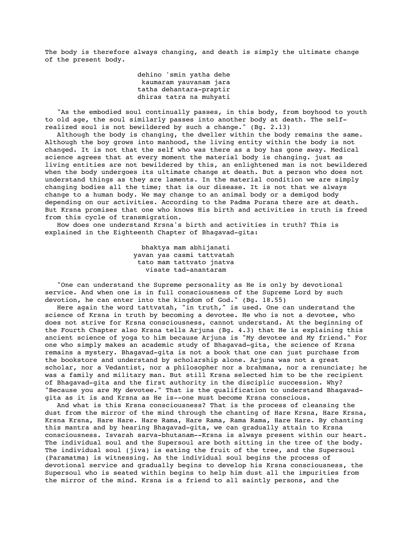The body is therefore always changing, and death is simply the ultimate change of the present body.

> dehino 'smin yatha dehe kaumaram yauvanam jara tatha dehantara-praptir dhiras tatra na muhyati

 "As the embodied soul continually passes, in this body, from boyhood to youth to old age, the soul similarly passes into another body at death. The selfrealized soul is not bewildered by such a change." (Bg. 2.13)

 Although the body is changing, the dweller within the body remains the same. Although the boy grows into manhood, the living entity within the body is not changed. It is not that the self who was there as a boy has gone away. Medical science agrees that at every moment the material body is changing. just as living entities are not bewildered by this, an enlightened man is not bewildered when the body undergoes its ultimate change at death. But a person who does not understand things as they are laments. In the material condition we are simply changing bodies all the time; that is our disease. It is not that we always change to a human body. We may change to an animal body or a demigod body depending on our activities. According to the Padma Purana there are at death. But Krsna promises that one who knows His birth and activities in truth is freed from this cycle of transmigration.

 How does one understand Krsna's birth and activities in truth? This is explained in the Eighteenth Chapter of Bhagavad-gita:

> bhaktya mam abhijanati yavan yas casmi tattvatah tato mam tattvato jnatva visate tad-anantaram

 "One can understand the Supreme personality as He is only by devotional service. And when one is in full consciousness of the Supreme Lord by such devotion, he can enter into the kingdom of God." (Bg. 18.55)

 Here again the word tattvatah, "in truth," is used. One can understand the science of Krsna in truth by becoming a devotee. He who is not a devotee, who does not strive for Krsna consciousness, cannot understand. At the beginning of the Fourth Chapter also Krsna tells Arjuna (Bg. 4.3) that He is explaining this ancient science of yoga to him because Arjuna is "My devotee and My friend." For one who simply makes an academic study of Bhagavad-gita, the science of Krsna remains a mystery. Bhagavad-gita is not a book that one can just purchase from the bookstore and understand by scholarship alone. Arjuna was not a great scholar, nor a Vedantist, nor a philosopher nor a brahmana, nor a renunciate; he was a family and military man. But still Krsna selected him to be the recipient of Bhagavad-gita and the first authority in the disciplic succession. Why? "Because you are My devotee." That is the qualification to understand Bhagavadgita as it is and Krsna as He is--one must become Krsna conscious.

 And what is this Krsna consciousness? That is the process of cleansing the dust from the mirror of the mind through the chanting of Hare Krsna, Hare Krsna, Krsna Krsna, Hare Hare. Hare Rama, Hare Rama, Rama Rama, Hare Hare. By chanting this mantra and by hearing Bhagavad-gita, we can gradually attain to Krsna consciousness. Isvarah sarva-bhutanam--Krsna is always present within our heart. The individual soul and the Supersoul are both sitting in the tree of the body. The individual soul (jiva) is eating the fruit of the tree, and the Supersoul (Paramatma) is witnessing. As the individual soul begins the process of devotional service and gradually begins to develop his Krsna consciousness, the Supersoul who is seated within begins to help him dust all the impurities from the mirror of the mind. Krsna is a friend to all saintly persons, and the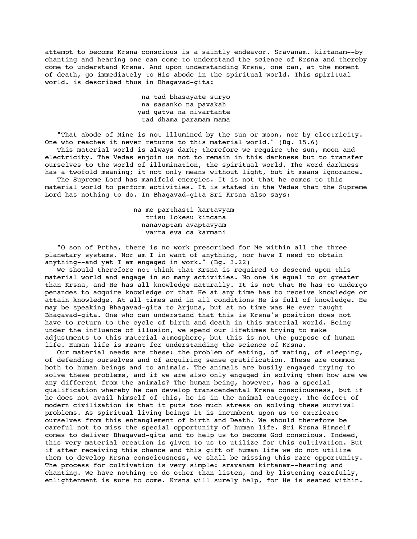attempt to become Krsna conscious is a saintly endeavor. Sravanam. kirtanam--by chanting and hearing one can come to understand the science of Krsna and thereby come to understand Krsna. And upon understanding Krsna, one can, at the moment of death, go immediately to His abode in the spiritual world. This spiritual world. is described thus in Bhagavad-gita:

> na tad bhasayate suryo na sasanko na pavakah yad gatva na nivartante tad dhama paramam mama

 "That abode of Mine is not illumined by the sun or moon, nor by electricity. One who reaches it never returns to this material world." (Bg. 15.6) This material world is always dark; therefore we require the sun, moon and electricity. The Vedas enjoin us not to remain in this darkness but to transfer ourselves to the world of illumination, the spiritual world. The word darkness has a twofold meaning; it not only means without light, but it means ignorance. The Supreme Lord has manifold energies. It is not that he comes to this material world to perform activities. It is stated in the Vedas that the Supreme

> na me parthasti kartavyam trisu lokesu kincana nanavaptam avaptavyam varta eva ca karmani

Lord has nothing to do. In Bhagavad-gita Sri Krsna also says:

 "O son of Prtha, there is no work prescribed for Me within all the three planetary systems. Nor am I in want of anything, nor have I need to obtain anything--and yet I am engaged in work." (Bg. 3.22)

 We should therefore not think that Krsna is required to descend upon this material world and engage in so many activities. No one is equal to or greater than Krsna, and He has all knowledge naturally. It is not that He has to undergo penances to acquire knowledge or that He at any time has to receive knowledge or attain knowledge. At all times and in all conditions He is full of knowledge. He may be speaking Bhagavad-gita to Arjuna, but at no time was He ever taught Bhagavad-gita. One who can understand that this is Krsna's position does not have to return to the cycle of birth and death in this material world. Being under the influence of illusion, we spend our lifetimes trying to make adjustments to this material atmosphere, but this is not the purpose of human life. Human life is meant for understanding the science of Krsna.

 Our material needs are these: the problem of eating, of mating, of sleeping, of defending ourselves and of acquiring sense gratification. These are common both to human beings and to animals. The animals are busily engaged trying to solve these problems, and if we are also only engaged in solving them how are we any different from the animals? The human being, however, has a special qualification whereby he can develop transcendental Krsna consciousness, but if he does not avail himself of this, he is in the animal category. The defect of modern civilization is that it puts too much stress on solving these survival problems. As spiritual living beings it is incumbent upon us to extricate ourselves from this entanglement of birth and Death. We should therefore be careful not to miss the special opportunity of human life. Sri Krsna Himself comes to deliver Bhagavad-gita and to help us to become God conscious. Indeed, this very material creation is given to us to utilize for this cultivation. But if after receiving this chance and this gift of human life we do not utilize them to develop Krsna consciousness, we shall be missing this rare opportunity. The process for cultivation is very simple: sravanam kirtanam--hearing and chanting. We have nothing to do other than listen, and by listening carefully, enlightenment is sure to come. Krsna will surely help, for He is seated within.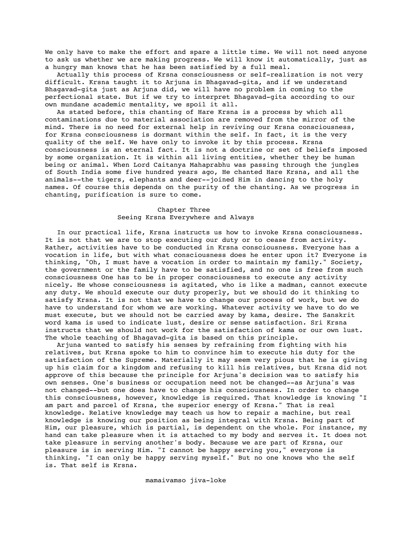We only have to make the effort and spare a little time. We will not need anyone to ask us whether we are making progress. We will know it automatically, just as a hungry man knows that he has been satisfied by a full meal.

 Actually this process of Krsna consciousness or self-realization is not very difficult. Krsna taught it to Arjuna in Bhagavad-gita, and if we understand Bhagavad-gita just as Arjuna did, we will have no problem in coming to the perfectional state. But if we try to interpret Bhagavad-gita according to our own mundane academic mentality, we spoil it all.

 As stated before, this chanting of Hare Krsna is a process by which all contaminations due to material association are removed from the mirror of the mind. There is no need for external help in reviving our Krsna consciousness, for Krsna consciousness is dormant within the self. In fact, it is the very quality of the self. We have only to invoke it by this process. Krsna consciousness is an eternal fact. It is not a doctrine or set of beliefs imposed by some organization. It is within all living entities, whether they be human being or animal. When Lord Caitanya Mahaprabhu was passing through the jungles of South India some five hundred years ago, He chanted Hare Krsna, and all the animals--the tigers, elephants and deer--joined Him in dancing to the holy names. Of course this depends on the purity of the chanting. As we progress in chanting, purification is sure to come.

## Chapter Three Seeing Krsna Everywhere and Always

 In our practical life, Krsna instructs us how to invoke Krsna consciousness. It is not that we are to stop executing our duty or to cease from activity. Rather, activities have to be conducted in Krsna consciousness. Everyone has a vocation in life, but with what consciousness does he enter upon it? Everyone is thinking, "Oh, I must have a vocation in order to maintain my family." Society, the government or the family have to be satisfied, and no one is free from such consciousness One has to be in proper consciousness to execute any activity nicely. He whose consciousness is agitated, who is like a madman, cannot execute any duty. We should execute our duty properly, but we should do it thinking to satisfy Krsna. It is not that we have to change our process of work, but we do have to understand for whom we are working. Whatever activity we have to do we must execute, but we should not be carried away by kama, desire. The Sanskrit word kama is used to indicate lust, desire or sense satisfaction. Sri Krsna instructs that we should not work for the satisfaction of kama or our own lust. The whole teaching of Bhagavad-gita is based on this principle.

 Arjuna wanted to satisfy his senses by refraining from fighting with his relatives, but Krsna spoke to him to convince him to execute his duty for the satisfaction of the Supreme. Materially it may seem very pious that he is giving up his claim for a kingdom and refusing to kill his relatives, but Krsna did not approve of this because the principle for Arjuna's decision was to satisfy his own senses. One's business or occupation need not be changed--as Arjuna's was not changed--but one does have to change his consciousness. In order to change this consciousness, however, knowledge is required. That knowledge is knowing "I am part and parcel of Krsna, the superior energy of Krsna." That is real knowledge. Relative knowledge may teach us how to repair a machine, but real knowledge is knowing our position as being integral with Krsna. Being part of Him, our pleasure, which is partial, is dependent on the whole. For instance, my hand can take pleasure when it is attached to my body and serves it. It does not take pleasure in serving another's body. Because we are part of Krsna, our pleasure is in serving Him. "I cannot be happy serving you," everyone is thinking. "I can only be happy serving myself." But no one knows who the self is. That self is Krsna.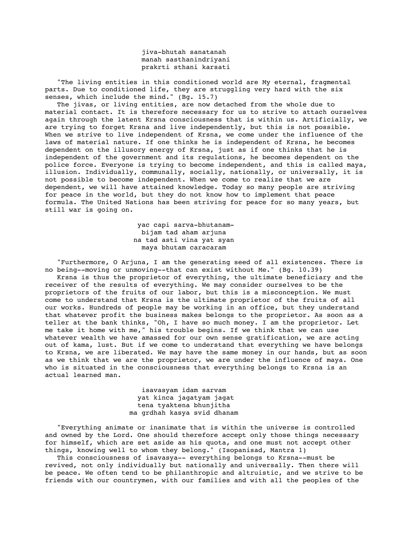jiva-bhutah sanatanah manah sasthanindriyani prakrti sthani karsati

 "The living entities in this conditioned world are My eternal, fragmental parts. Due to conditioned life, they are struggling very hard with the six senses, which include the mind." (Bg. 15.7)

 The jivas, or living entities, are now detached from the whole due to material contact. It is therefore necessary for us to strive to attach ourselves again through the latent Krsna consciousness that is within us. Artificially, we are trying to forget Krsna and live independently, but this is not possible. When we strive to live independent of Krsna, we come under the influence of the laws of material nature. If one thinks he is independent of Krsna, he becomes dependent on the illusory energy of Krsna, just as if one thinks that he is independent of the government and its regulations, he becomes dependent on the police force. Everyone is trying to become independent, and this is called maya, illusion. Individually, communally, socially, nationally, or universally, it is not possible to become independent. When we come to realize that we are dependent, we will have attained knowledge. Today so many people are striving for peace in the world, but they do not know how to implement that peace formula. The United Nations has been striving for peace for so many years, but still war is going on.

> yac capi sarva-bhutanam bijam tad aham arjuna na tad asti vina yat syan maya bhutam caracaram

 "Furthermore, O Arjuna, I am the generating seed of all existences. There is no being--moving or unmoving--that can exist without Me." (Bg. 10.39)

 Krsna is thus the proprietor of everything, the ultimate beneficiary and the receiver of the results of everything. We may consider ourselves to be the proprietors of the fruits of our labor, but this is a misconception. We must come to understand that Krsna is the ultimate proprietor of the fruits of all our works. Hundreds of people may be working in an office, but they understand that whatever profit the business makes belongs to the proprietor. As soon as a teller at the bank thinks, "Oh, I have so much money. I am the proprietor. Let me take it home with me," his trouble begins. If we think that we can use whatever wealth we have amassed for our own sense gratification, we are acting out of kama, lust. But if we come to understand that everything we have belongs to Krsna, we are liberated. We may have the same money in our hands, but as soon as we think that we are the proprietor, we are under the influence of maya. One who is situated in the consciousness that everything belongs to Krsna is an actual learned man.

> isavasyam idam sarvam yat kinca jagatyam jagat tena tyaktena bhunjitha ma grdhah kasya svid dhanam

 "Everything animate or inanimate that is within the universe is controlled and owned by the Lord. One should therefore accept only those things necessary for himself, which are set aside as his quota, and one must not accept other things, knowing well to whom they belong." (Isopanisad, Mantra 1)

 This consciousness of isavasya-- everything belongs to Krsna--must be revived, not only individually but nationally and universally. Then there will be peace. We often tend to be philanthropic and altruistic, and we strive to be friends with our countrymen, with our families and with all the peoples of the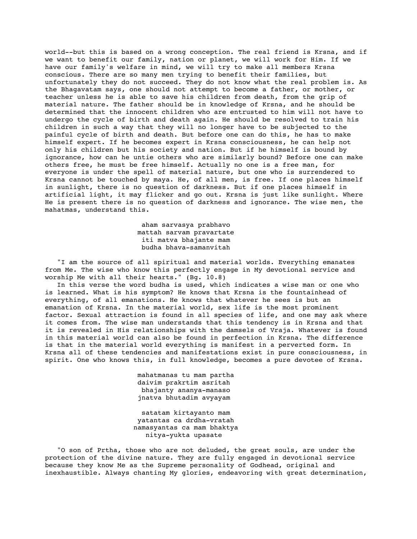world--but this is based on a wrong conception. The real friend is Krsna, and if we want to benefit our family, nation or planet, we will work for Him. If we have our family's welfare in mind, we will try to make all members Krsna conscious. There are so many men trying to benefit their families, but unfortunately they do not succeed. They do not know what the real problem is. As the Bhagavatam says, one should not attempt to become a father, or mother, or teacher unless he is able to save his children from death, from the grip of material nature. The father should be in knowledge of Krsna, and he should be determined that the innocent children who are entrusted to him will not have to undergo the cycle of birth and death again. He should be resolved to train his children in such a way that they will no longer have to be subjected to the painful cycle of birth and death. But before one can do this, he has to make himself expert. If he becomes expert in Krsna consciousness, he can help not only his children but his society and nation. But if he himself is bound by ignorance, how can he untie others who are similarly bound? Before one can make others free, he must be free himself. Actually no one is a free man, for everyone is under the spell of material nature, but one who is surrendered to Krsna cannot be touched by maya. He, of all men, is free. If one places himself in sunlight, there is no question of darkness. But if one places himself in artificial light, it may flicker and go out. Krsna is just like sunlight. Where He is present there is no question of darkness and ignorance. The wise men, the mahatmas, understand this.

> aham sarvasya prabhavo mattah sarvam pravartate iti matva bhajante mam budha bhava-samanvitah

 "I am the source of all spiritual and material worlds. Everything emanates from Me. The wise who know this perfectly engage in My devotional service and worship Me with all their hearts." (Bg. 10.8)

 In this verse the word budha is used, which indicates a wise man or one who is learned. What is his symptom? He knows that Krsna is the fountainhead of everything, of all emanations. He knows that whatever he sees is but an emanation of Krsna. In the material world, sex life is the most prominent factor. Sexual attraction is found in all species of life, and one may ask where it comes from. The wise man understands that this tendency is in Krsna and that it is revealed in His relationships with the damsels of Vraja. Whatever is found in this material world can also be found in perfection in Krsna. The difference is that in the material world everything is manifest in a perverted form. In Krsna all of these tendencies and manifestations exist in pure consciousness, in spirit. One who knows this, in full knowledge, becomes a pure devotee of Krsna.

> mahatmanas tu mam partha daivim prakrtim asritah bhajanty ananya-manaso jnatva bhutadim avyayam

 satatam kirtayanto mam yatantas ca drdha-vratah namasyantas ca mam bhaktya nitya-yukta upasate

 "O son of Prtha, those who are not deluded, the great souls, are under the protection of the divine nature. They are fully engaged in devotional service because they know Me as the Supreme personality of Godhead, original and inexhaustible. Always chanting My glories, endeavoring with great determination,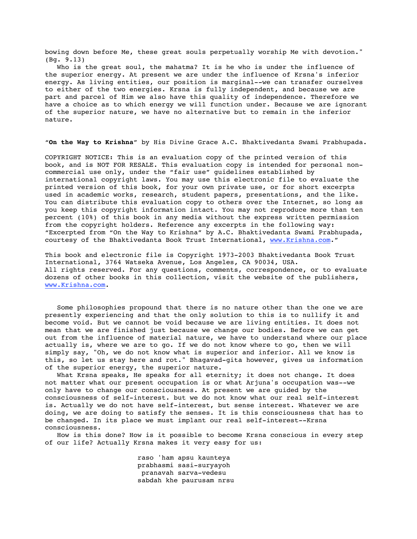bowing down before Me, these great souls perpetually worship Me with devotion." (Bg. 9.13)

 Who is the great soul, the mahatma? It is he who is under the influence of the superior energy. At present we are under the influence of Krsna's inferior energy. As living entities, our position is marginal--we can transfer ourselves to either of the two energies. Krsna is fully independent, and because we are part and parcel of Him we also have this quality of independence. Therefore we have a choice as to which energy we will function under. Because we are ignorant of the superior nature, we have no alternative but to remain in the inferior nature.

"**On the Way to Krishna**" by His Divine Grace A.C. Bhaktivedanta Swami Prabhupada.

COPYRIGHT NOTICE: This is an evaluation copy of the printed version of this book, and is NOT FOR RESALE. This evaluation copy is intended for personal noncommercial use only, under the "fair use" guidelines established by international copyright laws. You may use this electronic file to evaluate the printed version of this book, for your own private use, or for short excerpts used in academic works, research, student papers, presentations, and the like. You can distribute this evaluation copy to others over the Internet, so long as you keep this copyright information intact. You may not reproduce more than ten percent (10%) of this book in any media without the express written permission from the copyright holders. Reference any excerpts in the following way: "Excerpted from "On the Way to Krishna" by A.C. Bhaktivedanta Swami Prabhupada, courtesy of the Bhaktivedanta Book Trust International, www.Krishna.com."

This book and electronic file is Copyright 1973-2003 Bhaktivedanta Book Trust International, 3764 Watseka Avenue, Los Angeles, CA 90034, USA. All rights reserved. For any questions, comments, correspondence, or to evaluate dozens of other books in this collection, visit the website of the publishers, www.Krishna.com.

 Some philosophies propound that there is no nature other than the one we are presently experiencing and that the only solution to this is to nullify it and become void. But we cannot be void because we are living entities. It does not mean that we are finished just because we change our bodies. Before we can get out from the influence of material nature, we have to understand where our place actually is, where we are to go. If we do not know where to go, then we will simply say, "Oh, we do not know what is superior and inferior. All we know is this, so let us stay here and rot." Bhagavad-gita however, gives us information of the superior energy, the superior nature.

What Krsna speaks, He speaks for all eternity; it does not change. It does not matter what our present occupation is or what Arjuna's occupation was--we only have to change our consciousness. At present we are guided by the consciousness of self-interest. but we do not know what our real self-interest is. Actually we do not have self-interest, but sense interest. Whatever we are doing, we are doing to satisfy the senses. It is this consciousness that has to be changed. In its place we must implant our real self-interest--Krsna consciousness.

 How is this done? How is it possible to become Krsna conscious in every step of our life? Actually Krsna makes it very easy for us:

> raso 'ham apsu kaunteya prabhasmi sasi-suryayoh pranavah sarva-vedesu sabdah khe paurusam nrsu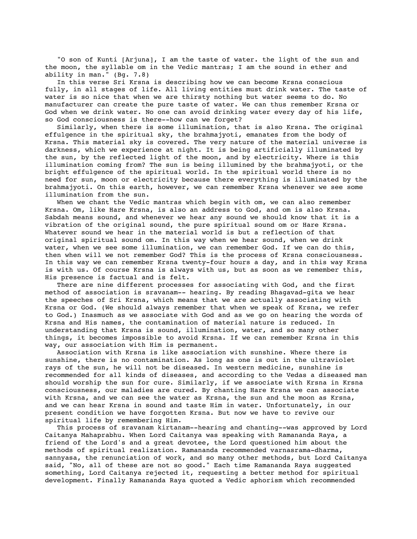"O son of Kunti [Arjuna], I am the taste of water. the light of the sun and the moon, the syllable om in the Vedic mantras; I am the sound in ether and ability in man." (Bg. 7.8)

 In this verse Sri Krsna is describing how we can become Krsna conscious fully, in all stages of life. All living entities must drink water. The taste of water is so nice that when we are thirsty nothing but water seems to do. No manufacturer can create the pure taste of water. We can thus remember Krsna or God when we drink water. No one can avoid drinking water every day of his life, so God consciousness is there--how can we forget?

 Similarly, when there is some illumination, that is also Krsna. The original effulgence in the spiritual sky, the brahmajyoti, emanates from the body of Krsna. This material sky is covered. The very nature of the material universe is darkness, which we experience at night. It is being artificially illuminated by the sun, by the reflected light of the moon, and by electricity. Where is this illumination coming from? The sun is being illumined by the brahmajyoti, or the bright effulgence of the spiritual world. In the spiritual world there is no need for sun, moon or electricity because there everything is illuminated by the brahmajyoti. On this earth, however, we can remember Krsna whenever we see some illumination from the sun.

When we chant the Vedic mantras which begin with om, we can also remember Krsna. Om, like Hare Krsna, is also an address to God, and om is also Krsna. Sabdah means sound, and whenever we hear any sound we should know that it is a vibration of the original sound, the pure spiritual sound om or Hare Krsna. Whatever sound we hear in the material world is but a reflection of that original spiritual sound om. In this way when we hear sound, when we drink water, when we see some illumination, we can remember God. If we can do this, then when will we not remember God? This is the process of Krsna consciousness. In this way we can remember Krsna twenty-four hours a day, and in this way Krsna is with us. Of course Krsna is always with us, but as soon as we remember this, His presence is factual and is felt.

 There are nine different processes for associating with God, and the first method of association is sravanam-- hearing. By reading Bhagavad-gita we hear the speeches of Sri Krsna, which means that we are actually associating with Krsna or God. (We should always remember that when we speak of Krsna, we refer to God.) Inasmuch as we associate with God and as we go on hearing the words of Krsna and His names, the contamination of material nature is reduced. In understanding that Krsna is sound, illumination, water, and so many other things, it becomes impossible to avoid Krsna. If we can remember Krsna in this way, our association with Him is permanent.

 Association with Krsna is like association with sunshine. Where there is sunshine, there is no contamination. As long as one is out in the ultraviolet rays of the sun, he will not be diseased. In western medicine, sunshine is recommended for all kinds of diseases, and according to the Vedas a diseased man should worship the sun for cure. Similarly, if we associate with Krsna in Krsna consciousness, our maladies are cured. By chanting Hare Krsna we can associate with Krsna, and we can see the water as Krsna, the sun and the moon as Krsna, and we can hear Krsna in sound and taste Him in water. Unfortunately, in our present condition we have forgotten Krsna. But now we have to revive our spiritual life by remembering Him.

 This process of sravanam kirtanam--hearing and chanting--was approved by Lord Caitanya Mahaprabhu. When Lord Caitanya was speaking with Ramananda Raya, a friend of the Lord's and a great devotee, the Lord questioned him about the methods of spiritual realization. Ramananda recommended varnasrama-dharma, sannyasa, the renunciation of work, and so many other methods, but Lord Caitanya said, "No, all of these are not so good." Each time Ramananda Raya suggested something, Lord Caitanya rejected it, requesting a better method for spiritual development. Finally Ramananda Raya quoted a Vedic aphorism which recommended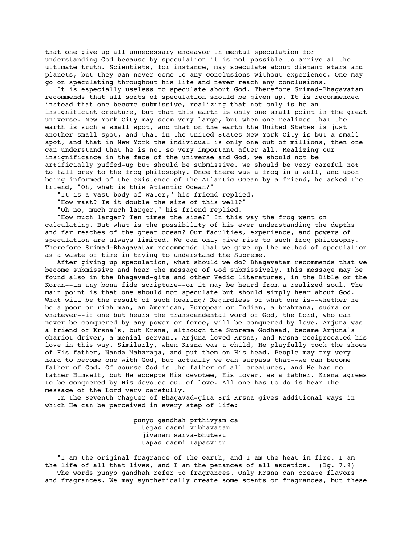that one give up all unnecessary endeavor in mental speculation for understanding God because by speculation it is not possible to arrive at the ultimate truth. Scientists, for instance, may speculate about distant stars and planets, but they can never come to any conclusions without experience. One may go on speculating throughout his life and never reach any conclusions.

 It is especially useless to speculate about God. Therefore Srimad-Bhagavatam recommends that all sorts of speculation should be given up. It is recommended instead that one become submissive, realizing that not only is he an insignificant creature, but that this earth is only one small point in the great universe. New York City may seem very large, but when one realizes that the earth is such a small spot, and that on the earth the United States is just another small spot, and that in the United States New York City is but a small spot, and that in New York the individual is only one out of millions, then one can understand that he is not so very important after all. Realizing our insignificance in the face of the universe and God, we should not be artificially puffed-up but should be submissive. We should be very careful not to fall prey to the frog philosophy. Once there was a frog in a well, and upon being informed of the existence of the Atlantic Ocean by a friend, he asked the friend, "Oh, what is this Atlantic Ocean?"

"It is a vast body of water," his friend replied.

"How vast? Is it double the size of this well?"

"Oh no, much much larger," his friend replied.

 "How much larger? Ten times the size?" In this way the frog went on calculating. But what is the possibility of his ever understanding the depths and far reaches of the great ocean? Our faculties, experience, and powers of speculation are always limited. We can only give rise to such frog philosophy. Therefore Srimad-Bhagavatam recommends that we give up the method of speculation as a waste of time in trying to understand the Supreme.

 After giving up speculation, what should we do? Bhagavatam recommends that we become submissive and hear the message of God submissively. This message may be found also in the Bhagavad-gita and other Vedic literatures, in the Bible or the Koran--in any bona fide scripture--or it may be heard from a realized soul. The main point is that one should not speculate but should simply hear about God. What will be the result of such hearing? Regardless of what one is--whether he be a poor or rich man, an American, European or Indian, a brahmana, sudra or whatever--if one but hears the transcendental word of God, the Lord, who can never be conquered by any power or force, will be conquered by love. Arjuna was a friend of Krsna's, but Krsna, although the Supreme Godhead, became Arjuna's chariot driver, a menial servant. Arjuna loved Krsna, and Krsna reciprocated his love in this way. Similarly, when Krsna was a child, He playfully took the shoes of His father, Nanda Maharaja, and put them on His head. People may try very hard to become one with God, but actually we can surpass that--we can become father of God. Of course God is the father of all creatures, and He has no father Himself, but He accepts His devotee, His lover, as a father. Krsna agrees to be conquered by His devotee out of love. All one has to do is hear the message of the Lord very carefully.

 In the Seventh Chapter of Bhagavad-gita Sri Krsna gives additional ways in which He can be perceived in every step of life:

> punyo gandhah prthivyam ca tejas casmi vibhavasau jivanam sarva-bhutesu tapas casmi tapasvisu

 "I am the original fragrance of the earth, and I am the heat in fire. I am the life of all that lives, and I am the penances of all ascetics." (Bg. 7.9) The words punyo gandhah refer to fragrances. Only Krsna can create flavors and fragrances. We may synthetically create some scents or fragrances, but these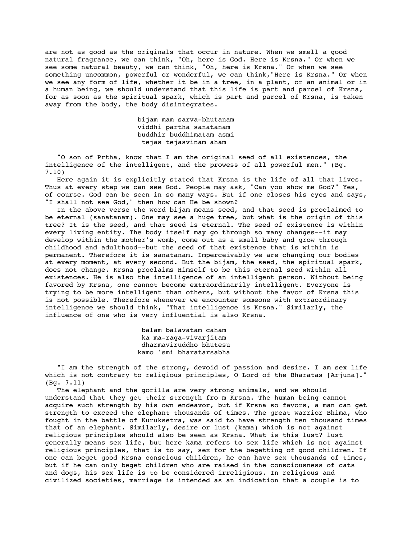are not as good as the originals that occur in nature. When we smell a good natural fragrance, we can think, "Oh, here is God. Here is Krsna." Or when we see some natural beauty, we can think, "Oh, here is Krsna." Or when we see something uncommon, powerful or wonderful, we can think,"Here is Krsna." Or when we see any form of life, whether it be in a tree, in a plant, or an animal or in a human being, we should understand that this life is part and parcel of Krsna, for as soon as the spiritual spark, which is part and parcel of Krsna, is taken away from the body, the body disintegrates.

> bijam mam sarva-bhutanam viddhi partha sanatanam buddhir buddhimatam asmi tejas tejasvinam aham

 "O son of Prtha, know that I am the original seed of all existences, the intelligence of the intelligent, and the prowess of all powerful men." (Bg. 7.10)

 Here again it is explicitly stated that Krsna is the life of all that lives. Thus at every step we can see God. People may ask, "Can you show me God?" Yes, of course. God can be seen in so many ways. But if one closes his eyes and says, "I shall not see God," then how can He be shown?

 In the above verse the word bijam means seed, and that seed is proclaimed to be eternal (sanatanam). One may see a huge tree, but what is the origin of this tree? It is the seed, and that seed is eternal. The seed of existence is within every living entity. The body itself may go through so many changes--it may develop within the mother's womb, come out as a small baby and grow through childhood and adulthood--but the seed of that existence that is within is permanent. Therefore it is sanatanam. Imperceivably we are changing our bodies at every moment, at every second. But the bijam, the seed, the spiritual spark, does not change. Krsna proclaims Himself to be this eternal seed within all existences. He is also the intelligence of an intelligent person. Without being favored by Krsna, one cannot become extraordinarily intelligent. Everyone is trying to be more intelligent than others, but without the favor of Krsna this is not possible. Therefore whenever we encounter someone with extraordinary intelligence we should think, "That intelligence is Krsna." Similarly, the influence of one who is very influential is also Krsna.

> balam balavatam caham ka ma-raga-vivarjitam dharmaviruddho bhutesu kamo 'smi bharatarsabha

 "I am the strength of the strong, devoid of passion and desire. I am sex life which is not contrary to religious principles, 0 Lord of the Bharatas [Arjuna]." (Bg. 7.11)

 The elephant and the gorilla are very strong animals, and we should understand that they get their strength fro m Krsna. The human being cannot acquire such strength by his own endeavor, but if Krsna so favors, a man can get strength to exceed the elephant thousands of times. The great warrior Bhima, who fought in the battle of Kuruksetra, was said to have strength ten thousand times that of an elephant. Similarly, desire or lust (kama) which is not against religious principles should also be seen as Krsna. What is this lust? lust generally means sex life, but here kama refers to sex life which is not against religious principles, that is to say, sex for the begetting of good children. If one can beget good Krsna conscious children, he can have sex thousands of times, but if he can only beget children who are raised in the consciousness of cats and dogs, his sex life is to be considered irreligious. In religious and civilized societies, marriage is intended as an indication that a couple is to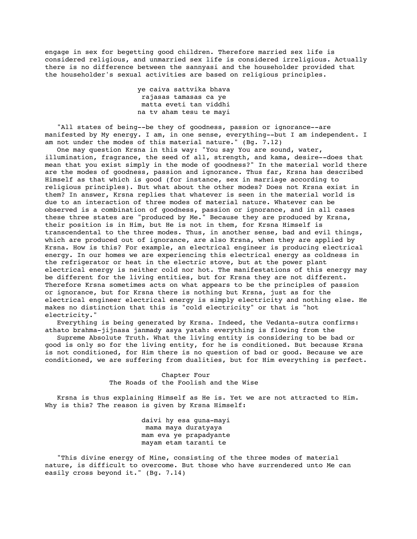engage in sex for begetting good children. Therefore married sex life is considered religious, and unmarried sex life is considered irreligious. Actually there is no difference between the sannyasi and the householder provided that the householder's sexual activities are based on religious principles.

> ye caiva sattvika bhava rajasas tamasas ca ye matta eveti tan viddhi na tv aham tesu te mayi

"All states of being--be they of goodness, passion or ignorance--are manifested by My energy. I am, in one sense, everything--but I am independent. I am not under the modes of this material nature." (Bg. 7.12)

 One may question Krsna in this way: "You say You are sound, water, illumination, fragrance, the seed of all, strength, and kama, desire--does that mean that you exist simply in the mode of goodness?" In the material world there are the modes of goodness, passion and ignorance. Thus far, Krsna has described Himself as that which is good (for instance, sex in marriage according to religious principles). But what about the other modes? Does not Krsna exist in them? In answer, Krsna replies that whatever is seen in the material world is due to an interaction of three modes of material nature. Whatever can be observed is a combination of goodness, passion or ignorance, and in all cases these three states are "produced by Me." Because they are produced by Krsna, their position is in Him, but He is not in them, for Krsna Himself is transcendental to the three modes. Thus, in another sense, bad and evil things, which are produced out of ignorance, are also Krsna, when they are applied by Krsna. How is this? For example, an electrical engineer is producing electrical energy. In our homes we are experiencing this electrical energy as coldness in the refrigerator or heat in the electric stove, but at the power plant electrical energy is neither cold nor hot. The manifestations of this energy may be different for the living entities, but for Krsna they are not different. Therefore Krsna sometimes acts on what appears to be the principles of passion or ignorance, but for Krsna there is nothing but Krsna, just as for the electrical engineer electrical energy is simply electricity and nothing else. He makes no distinction that this is "cold electricity" or that is "hot electricity."

 Everything is being generated by Krsna. Indeed, the Vedanta-sutra confirms: athato brahma-jijnasa janmady asya yatah: everything is flowing from the

 Supreme Absolute Truth. What the living entity is considering to be bad or good is only so for the living entity, for he is conditioned. But because Krsna is not conditioned, for Him there is no question of bad or good. Because we are conditioned, we are suffering from dualities, but for Him everything is perfect.

> Chapter Four The Roads of the Foolish and the Wise

 Krsna is thus explaining Himself as He is. Yet we are not attracted to Him. Why is this? The reason is given by Krsna Himself:

> daivi hy esa guna-mayi mama maya duratyaya mam eva ye prapadyante mayam etam taranti te

 "This divine energy of Mine, consisting of the three modes of material nature, is difficult to overcome. But those who have surrendered unto Me can easily cross beyond it." (Bg. 7.14)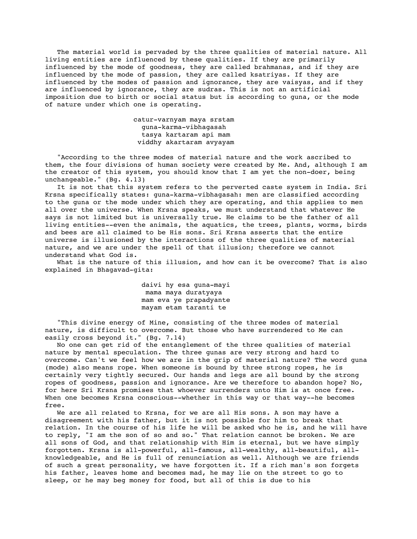The material world is pervaded by the three qualities of material nature. All living entities are influenced by these qualities. If they are primarily influenced by the mode of goodness, they are called brahmanas, and if they are influenced by the mode of passion, they are called ksatriyas. If they are influenced by the modes of passion and ignorance, they are vaisyas, and if they are influenced by ignorance, they are sudras. This is not an artificial imposition due to birth or social status but is according to guna, or the mode of nature under which one is operating.

> catur-varnyam maya srstam guna-karma-vibhagasah tasya kartaram api mam viddhy akartaram avyayam

 "According to the three modes of material nature and the work ascribed to them, the four divisions of human society were created by Me. And, although I am the creator of this system, you should know that I am yet the non-doer, being unchangeable." (Bg. 4.13)

 It is not that this system refers to the perverted caste system in India. Sri Krsna specifically states: guna-karma-vibhagasah: men are classified according to the guna or the mode under which they are operating, and this applies to men all over the universe. When Krsna speaks, we must understand that whatever He says is not limited but is universally true. He claims to be the father of all living entities--even the animals, the aquatics, the trees, plants, worms, birds and bees are all claimed to be His sons. Sri Krsna asserts that the entire universe is illusioned by the interactions of the three qualities of material nature, and we are under the spell of that illusion; therefore we cannot understand what God is.

 What is the nature of this illusion, and how can it be overcome? That is also explained in Bhagavad-gita:

> daivi hy esa guna-mayi mama maya duratyaya mam eva ye prapadyante mayam etam taranti te

 "This divine energy of Mine, consisting of the three modes of material nature, is difficult to overcome. But those who have surrendered to Me can easily cross beyond it." (Bg. 7.14)

 No one can get rid of the entanglement of the three qualities of material nature by mental speculation. The three gunas are very strong and hard to overcome. Can't we feel how we are in the grip of material nature? The word guna (mode) also means rope. When someone is bound by three strong ropes, he is certainly very tightly secured. Our hands and legs are all bound by the strong ropes of goodness, passion and ignorance. Are we therefore to abandon hope? No, for here Sri Krsna promises that whoever surrenders unto Him is at once free. When one becomes Krsna conscious--whether in this way or that way--he becomes free.

 We are all related to Krsna, for we are all His sons. A son may have a disagreement with his father, but it is not possible for him to break that relation. In the course of his life he will be asked who he is, and he will have to reply, "I am the son of so and so." That relation cannot be broken. We are all sons of God, and that relationship with Him is eternal, but we have simply forgotten. Krsna is all-powerful, all-famous, all-wealthy, all-beautiful, allknowledgeable, and He is full of renunciation as well. Although we are friends of such a great personality, we have forgotten it. If a rich man's son forgets his father, leaves home and becomes mad, he may lie on the street to go to sleep, or he may beg money for food, but all of this is due to his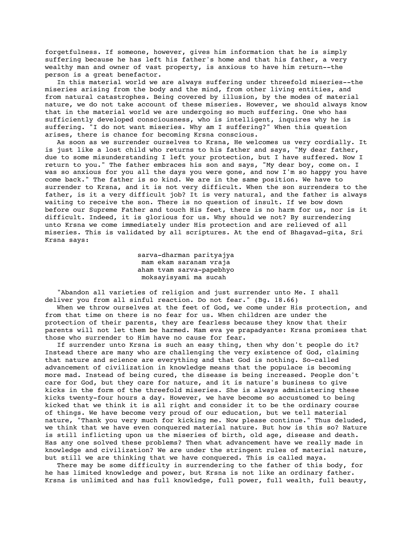forgetfulness. If someone, however, gives him information that he is simply suffering because he has left his father's home and that his father, a very wealthy man and owner of vast property, is anxious to have him return--the person is a great benefactor.

 In this material world we are always suffering under threefold miseries--the miseries arising from the body and the mind, from other living entities, and from natural catastrophes. Being covered by illusion, by the modes of material nature, we do not take account of these miseries. However, we should always know that in the material world we are undergoing so much suffering. One who has sufficiently developed consciousness, who is intelligent, inquires why he is suffering. "I do not want miseries. Why am I suffering?" When this question arises, there is chance for becoming Krsna conscious.

 As soon as we surrender ourselves to Krsna, He welcomes us very cordially. It is just like a lost child who returns to his father and says, "My dear father, due to some misunderstanding I left your protection, but I have suffered. Now I return to you." The father embraces his son and says, "My dear boy, come on. I was so anxious for you all the days you were gone, and now I'm so happy you have come back." The father is so kind. We are in the same position. We have to surrender to Krsna, and it is not very difficult. When the son surrenders to the father, is it a very difficult job? It is very natural, and the father is always waiting to receive the son. There is no question of insult. If we bow down before our Supreme Father and touch His feet, there is no harm for us, nor is it difficult. Indeed, it is glorious for us. Why should we not? By surrendering unto Krsna we come immediately under His protection and are relieved of all miseries. This is validated by all scriptures. At the end of Bhagavad-gita, Sri Krsna says:

> sarva-dharman parityajya mam ekam saranam vraja aham tvam sarva-papebhyo moksayisyami ma sucah

 "Abandon all varieties of religion and just surrender unto Me. I shall deliver you from all sinful reaction. Do not fear." (Bg. 18.66)

 When we throw ourselves at the feet of God, we come under His protection, and from that time on there is no fear for us. When children are under the protection of their parents, they are fearless because they know that their parents will not let them be harmed. Mam eva ye prapadyante: Krsna promises that those who surrender to Him have no cause for fear.

 If surrender unto Krsna is such an easy thing, then why don't people do it? Instead there are many who are challenging the very existence of God, claiming that nature and science are everything and that God is nothing. So-called advancement of civilization in knowledge means that the populace is becoming more mad. Instead of being cured, the disease is being increased. People don't care for God, but they care for nature, and it is nature's business to give kicks in the form of the threefold miseries. She is always administering these kicks twenty-four hours a day. However, we have become so accustomed to being kicked that we think it is all right and consider it to be the ordinary course of things. We have become very proud of our education, but we tell material nature, "Thank you very much for kicking me. Now please continue." Thus deluded, we think that we have even conquered material nature. But how is this so? Nature is still inflicting upon us the miseries of birth, old age, disease and death. Has any one solved these problems? Then what advancement have we really made in knowledge and civilization? We are under the stringent rules of material nature, but still we are thinking that we have conquered. This is called maya.

 There may be some difficulty in surrendering to the father of this body, for he has limited knowledge and power, but Krsna is not like an ordinary father. Krsna is unlimited and has full knowledge, full power, full wealth, full beauty,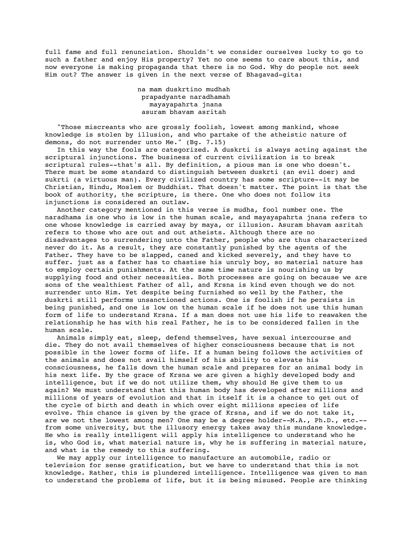full fame and full renunciation. Shouldn't we consider ourselves lucky to go to such a father and enjoy His property? Yet no one seems to care about this, and now everyone is making propaganda that there is no God. Why do people not seek Him out? The answer is given in the next verse of Bhagavad-gita:

> na mam duskrtino mudhah prapadyante naradhamah mayayapahrta jnana asuram bhavam asritah

 "Those miscreants who are grossly foolish, lowest among mankind, whose knowledge is stolen by illusion, and who partake of the atheistic nature of demons, do not surrender unto Me." (Bg. 7.15)

 In this way the fools are categorized. A duskrti is always acting against the scriptural injunctions. The business of current civilization is to break scriptural rules--that's all. By definition, a pious man is one who doesn't. There must be some standard to distinguish between duskrti (an evil doer) and sukrti (a virtuous man). Every civilized country has some scripture--it may be Christian, Hindu, Moslem or Buddhist. That doesn't matter. The point is that the book of authority, the scripture, is there. One who does not follow its injunctions is considered an outlaw.

 Another category mentioned in this verse is mudha, fool number one. The naradhama is one who is low in the human scale, and mayayapahrta jnana refers to one whose knowledge is carried away by maya, or illusion. Asuram bhavam asritah refers to those who are out and out atheists. Although there are no disadvantages to surrendering unto the Father, people who are thus characterized never do it. As a result, they are constantly punished by the agents of the Father. They have to be slapped, caned and kicked severely, and they have to suffer. just as a father has to chastise his unruly boy, so material nature has to employ certain punishments. At the same time nature is nourishing us by supplying food and other necessities. Both processes are going on because we are sons of the wealthiest Father of all, and Krsna is kind even though we do not surrender unto Him. Yet despite being furnished so well by the Father, the duskrti still performs unsanctioned actions. One is foolish if he persists in being punished, and one is low on the human scale if he does not use this human form of life to understand Krsna. If a man does not use his life to reawaken the relationship he has with his real Father, he is to be considered fallen in the human scale.

 Animals simply eat, sleep, defend themselves, have sexual intercourse and die. They do not avail themselves of higher consciousness because that is not possible in the lower forms of life. If a human being follows the activities of the animals and does not avail himself of his ability to elevate his consciousness, he falls down the human scale and prepares for an animal body in his next life. By the grace of Krsna we are given a highly developed body and intelligence, but if we do not utilize them, why should He give them to us again? We must understand that this human body has developed after millions and millions of years of evolution and that in itself it is a chance to get out of the cycle of birth and death in which over eight millions species of life evolve. This chance is given by the grace of Krsna, and if we do not take it, are we not the lowest among men? One may be a degree holder--M.A., Ph.D., etc.-from some university, but the illusory energy takes away this mundane knowledge. He who is really intelligent will apply his intelligence to understand who he is, who God is, what material nature is, why he is suffering in material nature, and what is the remedy to this suffering.

 We may apply our intelligence to manufacture an automobile, radio or television for sense gratification, but we have to understand that this is not knowledge. Rather, this is plundered intelligence. Intelligence was given to man to understand the problems of life, but it is being misused. People are thinking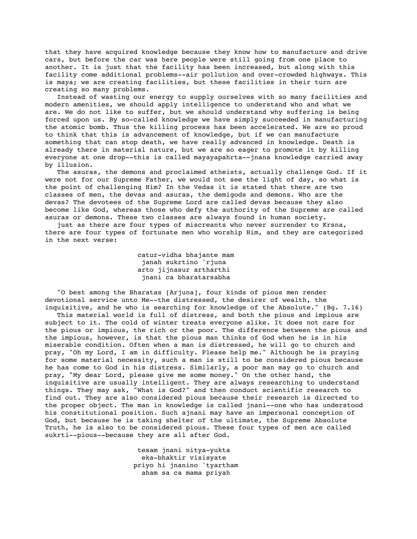that they have acquired knowledge because they know how to manufacture and drive cars, but before the car was here people were still going from one place to another. It is just that the facility has been increased, but along with this facility come additional problems--air pollution and over-crowded highways. This is maya; we are creating facilities, but these facilities in their turn are creating so many problems.

 Instead of wasting our energy to supply ourselves with so many facilities and modern amenities, we should apply intelligence to understand who and what we are. We do not like to suffer, but we should understand why suffering is being forced upon us. By so-called knowledge we have simply succeeded in manufacturing the atomic bomb. Thus the killing process has been accelerated. We are so proud to think that this is advancement of knowledge, but if we can manufacture something that can stop death, we have really advanced in knowledge. Death is already there in material nature, but we are so eager to promote it by killing everyone at one drop--this is called mayayapahrta--jnana knowledge carried away by illusion.

 The asuras, the demons and proclaimed atheists, actually challenge God. If it were not for our Supreme Father, we would not see the light of day, so what is the point of challenging Him? In the Vedas it is stated that there are two classes of men, the devas and asuras, the demigods and demons. Who are the devas? The devotees of the Supreme Lord are called devas because they also become like God, whereas those who defy the authority of the Supreme are called asuras or demons. These two classes are always found in human society.

 just as there are four types of miscreants who never surrender to Krsna, there are four types of fortunate men who worship Him, and they are categorized in the next verse:

> catur-vidha bhajante mam janah sukrtino 'rjuna arto jijnasur artharthi jnani ca bharatarsabha

 "O best among the Bharatas [Arjuna], four kinds of pious men render devotional service unto Me--the distressed, the desirer of wealth, the inquisitive, and he who is searching for knowledge of the Absolute." (Bg. 7.16)

 This material world is full of distress, and both the pious and impious are subject to it. The cold of winter treats everyone alike. It does not care for the pious or impious, the rich or the poor. The difference between the pious and the impious, however, is that the pious man thinks of God when he is in his miserable condition. Often when a man is distressed, he will go to church and pray, "Oh my Lord, I am in difficulty. Please help me." Although he is praying for some material necessity, such a man is still to be considered pious because he has come to God in his distress. Similarly, a poor man may go to church and pray, "My dear Lord, please give me some money." On the other hand, the inquisitive are usually intelligent. They are always researching to understand things. They may ask, "What is God?" and then conduct scientific research to find out. They are also considered pious because their research is directed to the proper object. The man in knowledge is called jnani--one who has understood his constitutional position. Such ajnani may have an impersonal conception of God, but because he is taking shelter of the ultimate, the Supreme Absolute Truth, he is also to be considered pious. These four types of men are called sukrti--pious--because they are all after God.

> tesam jnani nitya-yukta eka-bhaktir visisyate priyo hi jnanino 'tyartham aham sa ca mama priyah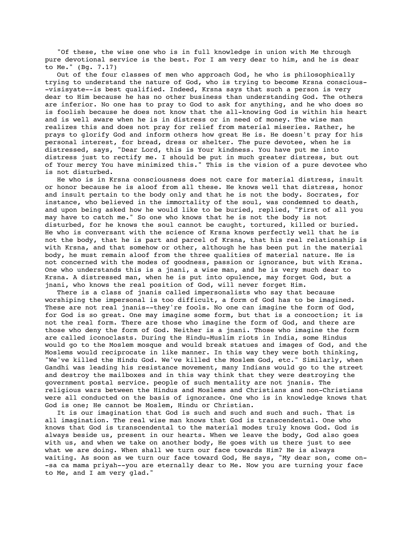"Of these, the wise one who is in full knowledge in union with Me through pure devotional service is the best. For I am very dear to him, and he is dear to Me." (Bg. 7.17)

 Out of the four classes of men who approach God, he who is philosophically trying to understand the nature of God, who is trying to become Krsna conscious- -visisyate--is best qualified. Indeed, Krsna says that such a person is very dear to Him because he has no other business than understanding God. The others are inferior. No one has to pray to God to ask for anything, and he who does so is foolish because he does not know that the all-knowing God is within his heart and is well aware when he is in distress or in need of money. The wise man realizes this and does not pray for relief from material miseries. Rather, he prays to glorify God and inform others how great He is. He doesn't pray for his personal interest, for bread, dress or shelter. The pure devotee, when he is distressed, says, "Dear Lord, this is Your kindness. You have put me into distress just to rectify me. I should be put in much greater distress, but out of Your mercy You have minimized this." This is the vision of a pure devotee who is not disturbed.

 He who is in Krsna consciousness does not care for material distress, insult or honor because he is aloof from all these. He knows well that distress, honor and insult pertain to the body only and that he is not the body. Socrates, for instance, who believed in the immortality of the soul, was condemned to death, and upon being asked how he would like to be buried, replied, "First of all you may have to catch me." So one who knows that he is not the body is not disturbed, for he knows the soul cannot be caught, tortured, killed or buried. He who is conversant with the science of Krsna knows perfectly well that he is not the body, that he is part and parcel of Krsna, that his real relationship is with Krsna, and that somehow or other, although he has been put in the material body, he must remain aloof from the three qualities of material nature. He is not concerned with the modes of goodness, passion or ignorance, but with Krsna. One who understands this is a jnani, a wise man, and he is very much dear to Krsna. A distressed man, when he is put into opulence, may forget God, but a jnani, who knows the real position of God, will never forget Him.

 There is a class of jnanis called impersonalists who say that because worshiping the impersonal is too difficult, a form of God has to be imagined. These are not real jnanis--they're fools. No one can imagine the form of God, for God is so great. One may imagine some form, but that is a concoction; it is not the real form. There are those who imagine the form of God, and there are those who deny the form of God. Neither is a jnani. Those who imagine the form are called iconoclasts. During the Hindu-Muslim riots in India, some Hindus would go to the Moslem mosque and would break statues and images of God, and the Moslems would reciprocate in like manner. In this way they were both thinking, "We've killed the Hindu God. We've killed the Moslem God, etc." Similarly, when Gandhi was leading his resistance movement, many Indians would go to the street and destroy the mailboxes and in this way think that they were destroying the government postal service. people of such mentality are not jnanis. The religious wars between the Hindus and Moslems and Christians and non-Christians were all conducted on the basis of ignorance. One who is in knowledge knows that God is one; He cannot be Moslem, Hindu or Christian.

 It is our imagination that God is such and such and such and such. That is all imagination. The real wise man knows that God is transcendental. One who knows that God is transcendental to the material modes truly knows God. God is always beside us, present in our hearts. When we leave the body, God also goes with us, and when we take on another body, He goes with us there just to see what we are doing. When shall we turn our face towards Him? He is always waiting. As soon as we turn our face toward God, He says, "My dear son, come on- -sa ca mama priyah--you are eternally dear to Me. Now you are turning your face to Me, and I am very glad."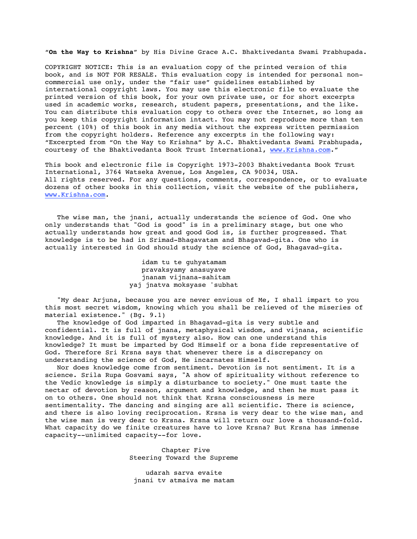"**On the Way to Krishna**" by His Divine Grace A.C. Bhaktivedanta Swami Prabhupada.

COPYRIGHT NOTICE: This is an evaluation copy of the printed version of this book, and is NOT FOR RESALE. This evaluation copy is intended for personal noncommercial use only, under the "fair use" guidelines established by international copyright laws. You may use this electronic file to evaluate the printed version of this book, for your own private use, or for short excerpts used in academic works, research, student papers, presentations, and the like. You can distribute this evaluation copy to others over the Internet, so long as you keep this copyright information intact. You may not reproduce more than ten percent (10%) of this book in any media without the express written permission from the copyright holders. Reference any excerpts in the following way: "Excerpted from "On the Way to Krishna" by A.C. Bhaktivedanta Swami Prabhupada, courtesy of the Bhaktivedanta Book Trust International, www.Krishna.com."

This book and electronic file is Copyright 1973-2003 Bhaktivedanta Book Trust International, 3764 Watseka Avenue, Los Angeles, CA 90034, USA. All rights reserved. For any questions, comments, correspondence, or to evaluate dozens of other books in this collection, visit the website of the publishers, www.Krishna.com.

 The wise man, the jnani, actually understands the science of God. One who only understands that "God is good" is in a preliminary stage, but one who actually understands how great and good God is, is further progressed. That knowledge is to be had in Srimad-Bhagavatam and Bhagavad-gita. One who is actually interested in God should study the science of God, Bhagavad-gita.

> idam tu te guhyatamam pravaksyamy anasuyave jnanam vijnana-sahitam yaj jnatva moksyase 'subhat

 "My dear Arjuna, because you are never envious of Me, I shall impart to you this most secret wisdom, knowing which you shall be relieved of the miseries of material existence." (Bg. 9.1)

 The knowledge of God imparted in Bhagavad-gita is very subtle and confidential. It is full of jnana, metaphysical wisdom, and vijnana, scientific knowledge. And it is full of mystery also. How can one understand this knowledge? It must be imparted by God Himself or a bona fide representative of God. Therefore Sri Krsna says that whenever there is a discrepancy on understanding the science of God, He incarnates Himself.

 Nor does knowledge come from sentiment. Devotion is not sentiment. It is a science. Srila Rupa Gosvami says, "A show of spirituality without reference to the Vedic knowledge is simply a disturbance to society." One must taste the nectar of devotion by reason, argument and knowledge, and then he must pass it on to others. One should not think that Krsna consciousness is mere sentimentality. The dancing and singing are all scientific. There is science, and there is also loving reciprocation. Krsna is very dear to the wise man, and the wise man is very dear to Krsna. Krsna will return our love a thousand-fold. What capacity do we finite creatures have to love Krsna? But Krsna has immense capacity--unlimited capacity--for love.

> Chapter Five Steering Toward the Supreme

 udarah sarva evaite jnani tv atmaiva me matam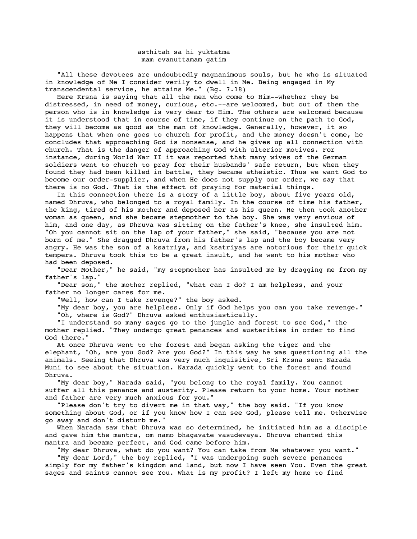asthitah sa hi yuktatma mam evanuttamam gatim

 "All these devotees are undoubtedly magnanimous souls, but he who is situated in knowledge of Me I consider verily to dwell in Me. Being engaged in My transcendental service, he attains Me." (Bg. 7.18)

 Here Krsna is saying that all the men who come to Him--whether they be distressed, in need of money, curious, etc.--are welcomed, but out of them the person who is in knowledge is very dear to Him. The others are welcomed because it is understood that in course of time, if they continue on the path to God, they will become as good as the man of knowledge. Generally, however, it so happens that when one goes to church for profit, and the money doesn't come, he concludes that approaching God is nonsense, and he gives up all connection with church. That is the danger of approaching God with ulterior motives. For instance, during World War II it was reported that many wives of the German soldiers went to church to pray for their husbands' safe return, but when they found they had been killed in battle, they became atheistic. Thus we want God to become our order-supplier, and when He does not supply our order, we say that there is no God. That is the effect of praying for material things.

 In this connection there is a story of a little boy, about five years old, named Dhruva, who belonged to a royal family. In the course of time his father, the king, tired of his mother and deposed her as his queen. He then took another woman as queen, and she became stepmother to the boy. She was very envious of him, and one day, as Dhruva was sitting on the father's knee, she insulted him. "Oh you cannot sit on the lap of your father," she said, "because you are not born of me." She dragged Dhruva from his father's lap and the boy became very angry. He was the son of a ksatriya, and ksatriyas are notorious for their quick tempers. Dhruva took this to be a great insult, and he went to his mother who had been deposed.

 "Dear Mother," he said, "my stepmother has insulted me by dragging me from my father's lap."

 "Dear son," the mother replied, "what can I do? I am helpless, and your father no longer cares for me.

"Well, how can I take revenge?" the boy asked.

 "My dear boy, you are helpless. Only if God helps you can you take revenge." "Oh, where is God?" Dhruva asked enthusiastically.

 "I understand so many sages go to the jungle and forest to see God," the mother replied. "They undergo great penances and austerities in order to find God there."

 At once Dhruva went to the forest and began asking the tiger and the elephant, "Oh, are you God? Are you God?" In this way he was questioning all the animals. Seeing that Dhruva was very much inquisitive, Sri Krsna sent Narada Muni to see about the situation. Narada quickly went to the forest and found Dhruva.

 "My dear boy," Narada said, "you belong to the royal family. You cannot suffer all this penance and austerity. Please return to your home. Your mother and father are very much anxious for you."

 "Please don't try to divert me in that way," the boy said. "If you know something about God, or if you know how I can see God, please tell me. Otherwise go away and don't disturb me."

 When Narada saw that Dhruva was so determined, he initiated him as a disciple and gave him the mantra, om namo bhagavate vasudevaya. Dhruva chanted this mantra and became perfect, and God came before him.

"My dear Dhruva, what do you want? You can take from Me whatever you want."

 "My dear Lord," the boy replied, "I was undergoing such severe penances simply for my father's kingdom and land, but now I have seen You. Even the great sages and saints cannot see You. What is my profit? I left my home to find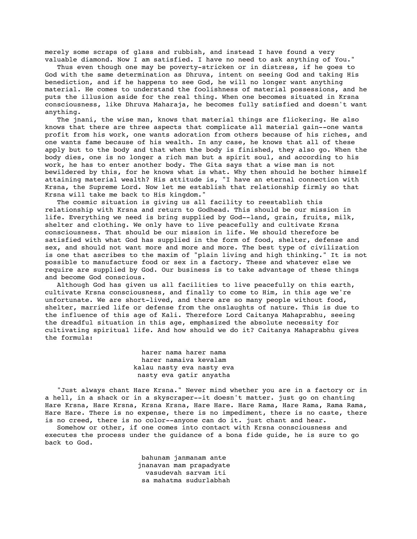merely some scraps of glass and rubbish, and instead I have found a very valuable diamond. Now I am satisfied. I have no need to ask anything of You."

Thus even though one may be poverty-stricken or in distress, if he goes to God with the same determination as Dhruva, intent on seeing God and taking His benediction, and if he happens to see God, he will no longer want anything material. He comes to understand the foolishness of material possessions, and he puts the illusion aside for the real thing. When one becomes situated in Krsna consciousness, like Dhruva Maharaja, he becomes fully satisfied and doesn't want anything.

 The jnani, the wise man, knows that material things are flickering. He also knows that there are three aspects that complicate all material gain--one wants profit from his work, one wants adoration from others because of his riches, and one wants fame because of his wealth. In any case, he knows that all of these apply but to the body and that when the body is finished, they also go. When the body dies, one is no longer a rich man but a spirit soul, and according to his work, he has to enter another body. The Gita says that a wise man is not bewildered by this, for he knows what is what. Why then should he bother himself attaining material wealth? His attitude is, "I have an eternal connection with Krsna, the Supreme Lord. Now let me establish that relationship firmly so that Krsna will take me back to His kingdom."

 The cosmic situation is giving us all facility to reestablish this relationship with Krsna and return to Godhead. This should be our mission in life. Everything we need is bring supplied by God--land, grain, fruits, milk, shelter and clothing. We only have to live peacefully and cultivate Krsna consciousness. That should be our mission in life. We should therefore be satisfied with what God has supplied in the form of food, shelter, defense and sex, and should not want more and more and more. The best type of civilization is one that ascribes to the maxim of "plain living and high thinking." It is not possible to manufacture food or sex in a factory. These and whatever else we require are supplied by God. Our business is to take advantage of these things and become God conscious.

 Although God has given us all facilities to live peacefully on this earth, cultivate Krsna consciousness, and finally to come to Him, in this age we're unfortunate. We are short-lived, and there are so many people without food, shelter, married life or defense from the onslaughts of nature. This is due to the influence of this age of Kali. Therefore Lord Caitanya Mahaprabhu, seeing the dreadful situation in this age, emphasized the absolute necessity for cultivating spiritual life. And how should we do it? Caitanya Mahaprabhu gives the formula:

> harer nama harer nama harer namaiva kevalam kalau nasty eva nasty eva nasty eva gatir anyatha

 "Just always chant Hare Krsna." Never mind whether you are in a factory or in a hell, in a shack or in a skyscraper--it doesn't matter. just go on chanting Hare Krsna, Hare Krsna, Krsna Krsna, Hare Hare. Hare Rama, Hare Rama, Rama Rama, Hare Hare. There is no expense, there is no impediment, there is no caste, there is no creed, there is no color--anyone can do it. just chant and hear.

 Somehow or other, if one comes into contact with Krsna consciousness and executes the process under the guidance of a bona fide guide, he is sure to go back to God.

> bahunam janmanam ante jnanavan mam prapadyate vasudevah sarvam iti sa mahatma sudurlabhah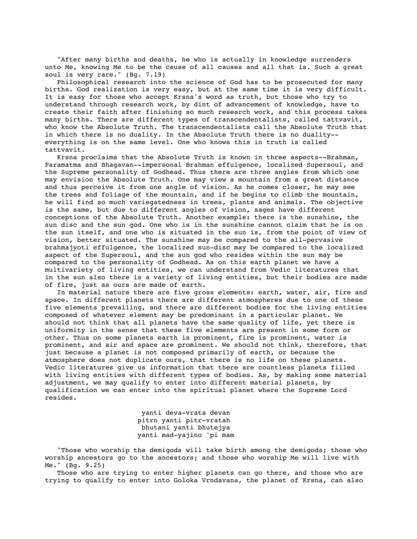"After many births and deaths, he who is actually in knowledge surrenders unto Me, knowing Me to be the cause of all causes and all that is. Such a great soul is very rare." (Bg. 7.19)

 Philosophical research into the science of God has to be prosecuted for many births. God realization is very easy, but at the same time it is very difficult. It is easy for those who accept Krsna's word as truth, but those who try to understand through research work, by dint of advancement of knowledge, have to create their faith after finishing so much research work, and this process takes many births. There are different types of transcendentalists, called tattvavit, who know the Absolute Truth. The transcendentalists call the Absolute Truth that in which there is no duality. In the Absolute Truth there is no duality- everything is on the same level. One who knows this in truth is called tattvavit.

 Krsna proclaims that the Absolute Truth is known in three aspects--Brahman, Paramatma and Bhagavan--impersonal Brahman effulgence, localized Supersoul, and the Supreme personality of Godhead. Thus there are three angles from which one may envision the Absolute Truth. One may view a mountain from a great distance and thus perceive it from one angle of vision. As he comes closer, he may see the trees and foliage of the mountain, and if he begins to climb the mountain, he will find so much variegatedness in trees, plants and animals. The objective is the same, but due to different angles of vision, sages have different conceptions of the Absolute Truth. Another example: there is the sunshine, the sun disc and the sun god. One who is in the sunshine cannot claim that he is on the sun itself, and one who is situated in the sun is, from the point of view of vision, better situated. The sunshine may be compared to the all-pervasive brahmajyoti effulgence, the localized sun-disc may be compared to the localized aspect of the Supersoul, and the sun god who resides within the sun may be compared to the personality of Godhead. As on this earth planet we have a multivariety of living entities, we can understand from Vedic literatures that in the sun also there is a variety of living entities, but their bodies are made of fire, just as ours are made of earth.

 In material nature there are five gross elements: earth, water, air, fire and space. In different planets there are different atmospheres due to one of these five elements prevailing, and there are different bodies for the living entities composed of whatever element may be predominant in a particular planet. We should not think that all planets have the same quality of life, yet there is uniformity in the sense that these five elements are present in some form or other. Thus on some planets earth is prominent, fire is prominent, water is prominent, and air and space are prominent. We should not think, therefore, that just because a planet is not composed primarily of earth, or because the atmosphere does not duplicate ours, that there is no life on these planets. Vedic literatures give us information that there are countless planets filled with living entities with different types of bodies. As, by making some material adjustment, we may qualify to enter into different material planets, by qualification we can enter into the spiritual planet where the Supreme Lord resides.

> yanti deva-vrata devan pitrn yanti pitr-vratah bhutani yanti bhutejya yanti mad-yajino 'pi mam

 "Those who worship the demigods will take birth among the demigods; those who worship ancestors go to the ancestors; and those who worship Me will live with Me." (Bg. 9.25)

 Those who are trying to enter higher planets can go there, and those who are trying to qualify to enter into Goloka Vrndavana, the planet of Krsna, can also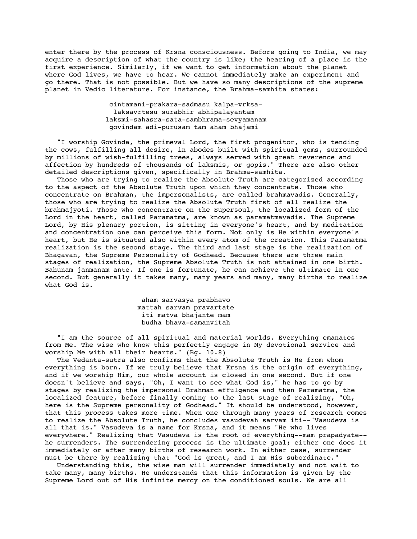enter there by the process of Krsna consciousness. Before going to India, we may acquire a description of what the country is like; the hearing of a place is the first experience. Similarly, if we want to get information about the planet where God lives, we have to hear. We cannot immediately make an experiment and go there. That is not possible. But we have so many descriptions of the supreme planet in Vedic literature. For instance, the Brahma-samhita states:

> cintamani-prakara-sadmasu kalpa-vrksa laksavrtesu surabhir abhipalayantam laksmi-sahasra-sata-sambhrama-sevyamanam govindam adi-purusam tam aham bhajami

 "I worship Govinda, the primeval Lord, the first progenitor, who is tending the cows, fulfilling all desire, in abodes built with spiritual gems, surrounded by millions of wish-fulfilling trees, always served with great reverence and affection by hundreds of thousands of laksmis, or gopis." There are also other detailed descriptions given, specifically in Brahma-samhita.

 Those who are trying to realize the Absolute Truth are categorized according to the aspect of the Absolute Truth upon which they concentrate. Those who concentrate on Brahman, the impersonalists, are called brahmavadis. Generally, those who are trying to realize the Absolute Truth first of all realize the brahmajyoti. Those who concentrate on the Supersoul, the localized form of the Lord in the heart, called Paramatma, are known as paramatmavadis. The Supreme Lord, by His plenary portion, is sitting in everyone's heart, and by meditation and concentration one can perceive this form. Not only is He within everyone's heart, but He is situated also within every atom of the creation. This Paramatma realization is the second stage. The third and last stage is the realization of Bhagavan, the Supreme Personality of Godhead. Because there are three main stages of realization, the Supreme Absolute Truth is not attained in one birth. Bahunam janmanam ante. If one is fortunate, he can achieve the ultimate in one second. But generally it takes many, many years and many, many births to realize what God is.

> aham sarvasya prabhavo mattah sarvam pravartate iti matva bhajante mam budha bhava-samanvitah

 "I am the source of all spiritual and material worlds. Everything emanates from Me. The wise who know this perfectly engage in My devotional service and worship Me with all their hearts." (Bg. 10.8)

 The Vedanta-sutra also confirms that the Absolute Truth is He from whom everything is born. If we truly believe that Krsna is the origin of everything, and if we worship Him, our whole account is closed in one second. But if one doesn't believe and says, "Oh, I want to see what God is," he has to go by stages by realizing the impersonal Brahman effulgence and then Paramatma, the localized feature, before finally coming to the last stage of realizing, "Oh, here is the Supreme personality of Godhead." It should be understood, however, that this process takes more time. When one through many years of research comes to realize the Absolute Truth, he concludes vasudevah sarvam iti--"Vasudeva is all that is." Vasudeva is a name for Krsna, and it means "He who lives everywhere." Realizing that Vasudeva is the root of everything--mam prapadyate- he surrenders. The surrendering process is the ultimate goal; either one does it immediately or after many births of research work. In either case, surrender must be there by realizing that "God is great, and I am His subordinate."

 Understanding this, the wise man will surrender immediately and not wait to take many, many births. He understands that this information is given by the Supreme Lord out of His infinite mercy on the conditioned souls. We are all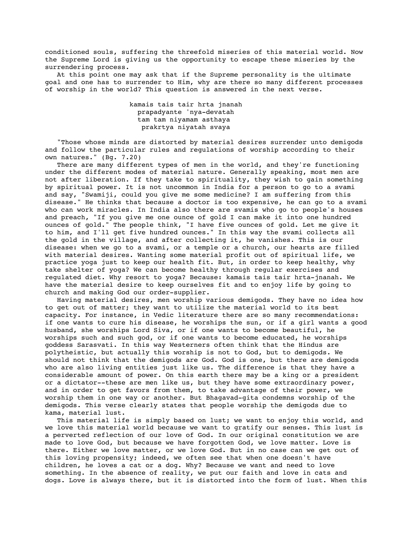conditioned souls, suffering the threefold miseries of this material world. Now the Supreme Lord is giving us the opportunity to escape these miseries by the surrendering process.

 At this point one may ask that if the Supreme personality is the ultimate goal and one has to surrender to Him, why are there so many different processes of worship in the world? This question is answered in the next verse.

> kamais tais tair hrta jnanah prapadyante 'nya-devatah tam tam niyamam asthaya prakrtya niyatah svaya

 "Those whose minds are distorted by material desires surrender unto demigods and follow the particular rules and regulations of worship according to their own natures." (Bg. 7.20)

 There are many different types of men in the world, and they're functioning under the different modes of material nature. Generally speaking, most men are not after liberation. If they take to spirituality, they wish to gain something by spiritual power. It is not uncommon in India for a person to go to a svami and say, "Swamiji, could you give me some medicine? I am suffering from this disease." He thinks that because a doctor is too expensive, he can go to a svami who can work miracles. In India also there are svamis who go to people's houses and preach, "If you give me one ounce of gold I can make it into one hundred ounces of gold." The people think, "I have five ounces of gold. Let me give it to him, and I'll get five hundred ounces." In this way the svami collects all the gold in the village, and after collecting it, he vanishes. This is our disease: when we go to a svami, or a temple or a church, our hearts are filled with material desires. Wanting some material profit out of spiritual life, we practice yoga just to keep our health fit. But, in order to keep healthy, why take shelter of yoga? We can become healthy through regular exercises and regulated diet. Why resort to yoga? Because: kamais tais tair hrta-jnanah. We have the material desire to keep ourselves fit and to enjoy life by going to church and making God our order-supplier.

 Having material desires, men worship various demigods. They have no idea how to get out of matter; they want to utilize the material world to its best capacity. For instance, in Vedic literature there are so many recommendations: if one wants to cure his disease, he worships the sun, or if a girl wants a good husband, she worships Lord Siva, or if one wants to become beautiful, he worships such and such god, or if one wants to become educated, he worships goddess Sarasvati. In this way Westerners often think that the Hindus are polytheistic, but actually this worship is not to God, but to demigods. We should not think that the demigods are God. God is one, but there are demigods who are also living entities just like us. The difference is that they have a considerable amount of power. On this earth there may be a king or a president or a dictator--these are men like us, but they have some extraordinary power, and in order to get favors from them, to take advantage of their power, we worship them in one way or another. But Bhagavad-gita condemns worship of the demigods. This verse clearly states that people worship the demigods due to kama, material lust.

This material life is simply based on lust; we want to enjoy this world, and we love this material world because we want to gratify our senses. This lust is a perverted reflection of our love of God. In our original constitution we are made to love God, but because we have forgotten God, we love matter. Love is there. Either we love matter, or we love God. But in no case can we get out of this loving propensity; indeed, we often see that when one doesn't have children, he loves a cat or a dog. Why? Because we want and need to love something. In the absence of reality, we put our faith and love in cats and dogs. Love is always there, but it is distorted into the form of lust. When this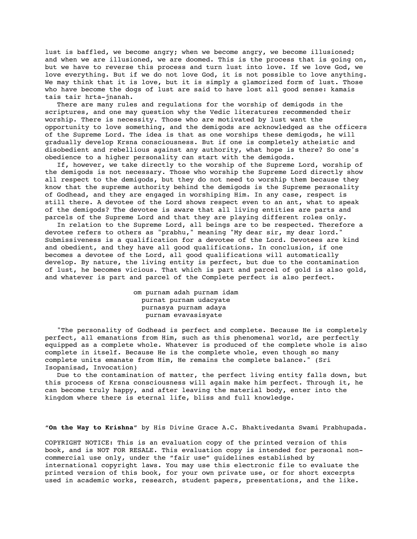lust is baffled, we become angry; when we become angry, we become illusioned; and when we are illusioned, we are doomed. This is the process that is going on, but we have to reverse this process and turn lust into love. If we love God, we love everything. But if we do not love God, it is not possible to love anything. We may think that it is love, but it is simply a glamorized form of lust. Those who have become the dogs of lust are said to have lost all good sense: kamais tais tair hrta-jnanah.

 There are many rules and regulations for the worship of demigods in the scriptures, and one may question why the Vedic literatures recommended their worship. There is necessity. Those who are motivated by lust want the opportunity to love something, and the demigods are acknowledged as the officers of the Supreme Lord. The idea is that as one worships these demigods, he will gradually develop Krsna consciousness. But if one is completely atheistic and disobedient and rebellious against any authority, what hope is there? So one's obedience to a higher personality can start with the demigods.

 If, however, we take directly to the worship of the Supreme Lord, worship of the demigods is not necessary. Those who worship the Supreme Lord directly show all respect to the demigods, but they do not need to worship them because they know that the supreme authority behind the demigods is the Supreme personality of Godhead, and they are engaged in worshiping Him. In any case, respect is still there. A devotee of the Lord shows respect even to an ant, what to speak of the demigods? The devotee is aware that all living entities are parts and parcels of the Supreme Lord and that they are playing different roles only.

 In relation to the Supreme Lord, all beings are to be respected. Therefore a devotee refers to others as "prabhu," meaning "My dear sir, my dear lord." Submissiveness is a qualification for a devotee of the Lord. Devotees are kind and obedient, and they have all good qualifications. In conclusion, if one becomes a devotee of the Lord, all good qualifications will automatically develop. By nature, the living entity is perfect, but due to the contamination of lust, he becomes vicious. That which is part and parcel of gold is also gold, and whatever is part and parcel of the Complete perfect is also perfect.

> om purnam adah purnam idam purnat purnam udacyate purnasya purnam adaya purnam evavasisyate

 "The personality of Godhead is perfect and complete. Because He is completely perfect, all emanations from Him, such as this phenomenal world, are perfectly equipped as a complete whole. Whatever is produced of the complete whole is also complete in itself. Because He is the complete whole, even though so many complete units emanate from Him, He remains the complete balance." (Sri Isopanisad, Invocation)

 Due to the contamination of matter, the perfect living entity falls down, but this process of Krsna consciousness will again make him perfect. Through it, he can become truly happy, and after leaving the material body, enter into the kingdom where there is eternal life, bliss and full knowledge.

"**On the Way to Krishna**" by His Divine Grace A.C. Bhaktivedanta Swami Prabhupada.

COPYRIGHT NOTICE: This is an evaluation copy of the printed version of this book, and is NOT FOR RESALE. This evaluation copy is intended for personal noncommercial use only, under the "fair use" guidelines established by international copyright laws. You may use this electronic file to evaluate the printed version of this book, for your own private use, or for short excerpts used in academic works, research, student papers, presentations, and the like.